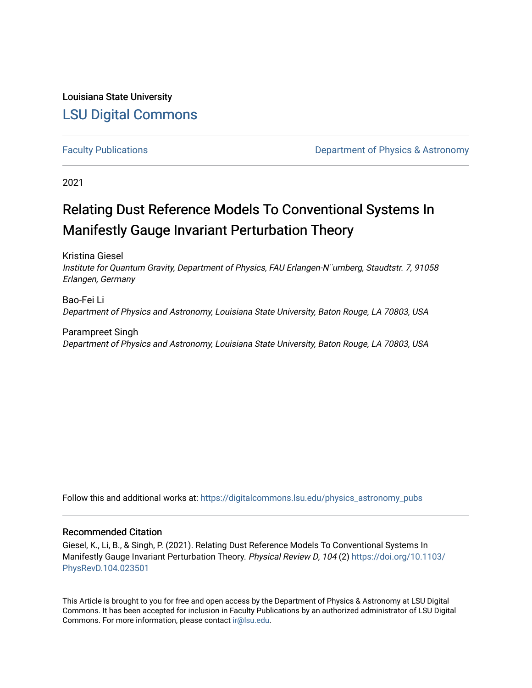Louisiana State University [LSU Digital Commons](https://digitalcommons.lsu.edu/)

[Faculty Publications](https://digitalcommons.lsu.edu/physics_astronomy_pubs) **Exercise 2 and Table 2 and Table 2 and Table 2 and Table 2 and Table 2 and Table 2 and Table 2 and Table 2 and Table 2 and Table 2 and Table 2 and Table 2 and Table 2 and Table 2 and Table 2 and Table** 

2021

# Relating Dust Reference Models To Conventional Systems In Manifestly Gauge Invariant Perturbation Theory

Kristina Giesel Institute for Quantum Gravity, Department of Physics, FAU Erlangen-N¨urnberg, Staudtstr. 7, 91058 Erlangen, Germany

Bao-Fei Li Department of Physics and Astronomy, Louisiana State University, Baton Rouge, LA 70803, USA

Parampreet Singh Department of Physics and Astronomy, Louisiana State University, Baton Rouge, LA 70803, USA

Follow this and additional works at: [https://digitalcommons.lsu.edu/physics\\_astronomy\\_pubs](https://digitalcommons.lsu.edu/physics_astronomy_pubs?utm_source=digitalcommons.lsu.edu%2Fphysics_astronomy_pubs%2F33&utm_medium=PDF&utm_campaign=PDFCoverPages) 

# Recommended Citation

Giesel, K., Li, B., & Singh, P. (2021). Relating Dust Reference Models To Conventional Systems In Manifestly Gauge Invariant Perturbation Theory. Physical Review D, 104 (2) [https://doi.org/10.1103/](https://doi.org/10.1103/PhysRevD.104.023501) [PhysRevD.104.023501](https://doi.org/10.1103/PhysRevD.104.023501) 

This Article is brought to you for free and open access by the Department of Physics & Astronomy at LSU Digital Commons. It has been accepted for inclusion in Faculty Publications by an authorized administrator of LSU Digital Commons. For more information, please contact [ir@lsu.edu](mailto:ir@lsu.edu).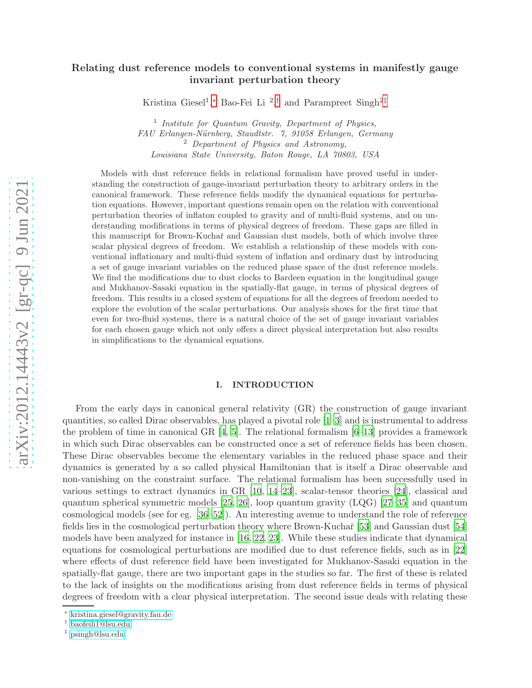# arXiv:2012.14443v2 [gr-qc] 9 Jun 2021 [arXiv:2012.14443v2 \[gr-qc\] 9 Jun 2021](http://arxiv.org/abs/2012.14443v2)

# Relating dust reference models to conventional systems in manifestly gauge invariant perturbation theory

Kristina Giesel<sup>1</sup>,\* Bao-Fei Li<sup>2</sup>,<sup>[†](#page-1-1)</sup> and Parampreet Singh<sup>2[‡](#page-1-2)</sup>

<sup>1</sup> Institute for Quantum Gravity, Department of Physics, FAU Erlangen-Nürnberg, Staudtstr. 7, 91058 Erlangen, Germany<br><sup>2</sup> Department of Physics and Astronomy, Louisiana State University, Baton Rouge, LA 70803, USA

Models with dust reference fields in relational formalism have proved useful in understanding the construction of gauge-invariant perturbation theory to arbitrary orders in the canonical framework. These reference fields modify the dynamical equations for perturbation equations. However, important questions remain open on the relation with conventional perturbation theories of inflaton coupled to gravity and of multi-fluid systems, and on understanding modifications in terms of physical degrees of freedom. These gaps are filled in this manuscript for Brown-Kuchař and Gaussian dust models, both of which involve three scalar physical degrees of freedom. We establish a relationship of these models with conventional inflationary and multi-fluid system of inflation and ordinary dust by introducing a set of gauge invariant variables on the reduced phase space of the dust reference models. We find the modifications due to dust clocks to Bardeen equation in the longitudinal gauge and Mukhanov-Sasaki equation in the spatially-flat gauge, in terms of physical degrees of freedom. This results in a closed system of equations for all the degrees of freedom needed to explore the evolution of the scalar perturbations. Our analysis shows for the first time that even for two-fluid systems, there is a natural choice of the set of gauge invariant variables for each chosen gauge which not only offers a direct physical interpretation but also results in simplifications to the dynamical equations.

### I. INTRODUCTION

From the early days in canonical general relativity (GR) the construction of gauge invariant quantities, so called Dirac observables, has played a pivotal role [\[1](#page-20-0)[–3](#page-20-1)] and is instrumental to address the problem of time in canonical GR  $[4, 5]$  $[4, 5]$ . The relational formalism  $[6-13]$  provides a framework in which such Dirac observables can be constructed once a set of reference fields has been chosen. These Dirac observables become the elementary variables in the reduced phase space and their dynamics is generated by a so called physical Hamiltonian that is itself a Dirac observable and non-vanishing on the constraint surface. The relational formalism has been successfully used in various settings to extract dynamics in GR [\[10](#page-20-6), [14](#page-20-7)[–23](#page-21-0)], scalar-tensor theories [\[24](#page-21-1)], classical and quantum spherical symmetric models [\[25](#page-21-2), [26](#page-21-3)], loop quantum gravity (LQG) [\[27](#page-21-4)[–35](#page-21-5)] and quantum cosmological models (see for eg. [\[36](#page-21-6)[–52](#page-22-0)]). An interesting avenue to understand the role of reference fields lies in the cosmological perturbation theory where Brown-Kuchař [\[53\]](#page-22-1) and Gaussian dust [\[54](#page-22-2)] models have been analyzed for instance in [\[16](#page-20-8), [22](#page-20-9), [23](#page-21-0)]. While these studies indicate that dynamical equations for cosmological perturbations are modified due to dust reference fields, such as in [\[22](#page-20-9)] where effects of dust reference field have been investigated for Mukhanov-Sasaki equation in the spatially-flat gauge, there are two important gaps in the studies so far. The first of these is related to the lack of insights on the modifications arising from dust reference fields in terms of physical degrees of freedom with a clear physical interpretation. The second issue deals with relating these

<span id="page-1-0"></span><sup>∗</sup> [kristina.giesel@gravity.fau.de](mailto:kristina.giesel@gravity.fau.de)

<span id="page-1-1"></span><sup>†</sup> [baofeili1@lsu.edu](mailto:baofeili1@lsu.edu)

<span id="page-1-2"></span><sup>‡</sup> [psingh@lsu.edu](mailto:psingh@lsu.edu)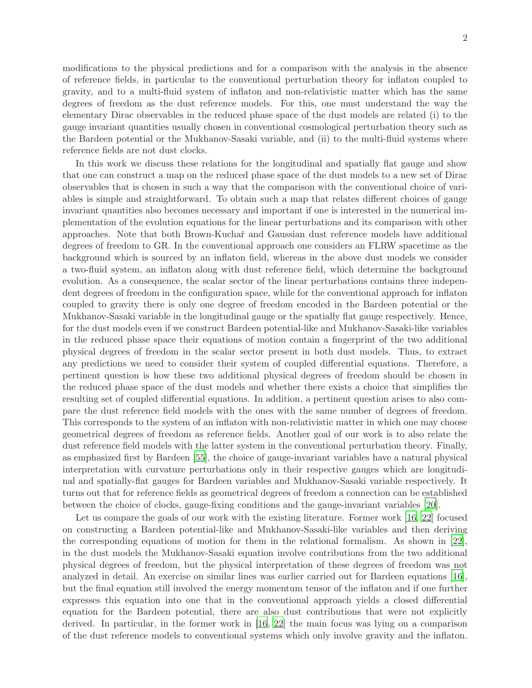modifications to the physical predictions and for a comparison with the analysis in the absence of reference fields, in particular to the conventional perturbation theory for inflaton coupled to gravity, and to a multi-fluid system of inflaton and non-relativistic matter which has the same degrees of freedom as the dust reference models. For this, one must understand the way the elementary Dirac observables in the reduced phase space of the dust models are related (i) to the gauge invariant quantities usually chosen in conventional cosmological perturbation theory such as the Bardeen potential or the Mukhanov-Sasaki variable, and (ii) to the multi-fluid systems where reference fields are not dust clocks.

In this work we discuss these relations for the longitudinal and spatially flat gauge and show that one can construct a map on the reduced phase space of the dust models to a new set of Dirac observables that is chosen in such a way that the comparison with the conventional choice of variables is simple and straightforward. To obtain such a map that relates different choices of gauge invariant quantities also becomes necessary and important if one is interested in the numerical implementation of the evolution equations for the linear perturbations and its comparison with other approaches. Note that both Brown-Kuchaˇr and Gaussian dust reference models have additional degrees of freedom to GR. In the conventional approach one considers an FLRW spacetime as the background which is sourced by an inflaton field, whereas in the above dust models we consider a two-fluid system, an inflaton along with dust reference field, which determine the background evolution. As a consequence, the scalar sector of the linear perturbations contains three independent degrees of freedom in the configuration space, while for the conventional approach for inflaton coupled to gravity there is only one degree of freedom encoded in the Bardeen potential or the Mukhanov-Sasaki variable in the longitudinal gauge or the spatially flat gauge respectively. Hence, for the dust models even if we construct Bardeen potential-like and Mukhanov-Sasaki-like variables in the reduced phase space their equations of motion contain a fingerprint of the two additional physical degrees of freedom in the scalar sector present in both dust models. Thus, to extract any predictions we need to consider their system of coupled differential equations. Therefore, a pertinent question is how these two additional physical degrees of freedom should be chosen in the reduced phase space of the dust models and whether there exists a choice that simplifies the resulting set of coupled differential equations. In addition, a pertinent question arises to also compare the dust reference field models with the ones with the same number of degrees of freedom. This corresponds to the system of an inflaton with non-relativistic matter in which one may choose geometrical degrees of freedom as reference fields. Another goal of our work is to also relate the dust reference field models with the latter system in the conventional perturbation theory. Finally, as emphasized first by Bardeen [\[55](#page-22-3)], the choice of gauge-invariant variables have a natural physical interpretation with curvature perturbations only in their respective gauges which are longitudinal and spatially-flat gauges for Bardeen variables and Mukhanov-Sasaki variable respectively. It turns out that for reference fields as geometrical degrees of freedom a connection can be established between the choice of clocks, gauge-fixing conditions and the gauge-invariant variables [\[20](#page-20-10)].

Let us compare the goals of our work with the existing literature. Former work [\[16](#page-20-8), [22\]](#page-20-9) focused on constructing a Bardeen potential-like and Mukhanov-Sasaki-like variables and then deriving the corresponding equations of motion for them in the relational formalism. As shown in [\[22](#page-20-9)], in the dust models the Mukhanov-Sasaki equation involve contributions from the two additional physical degrees of freedom, but the physical interpretation of these degrees of freedom was not analyzed in detail. An exercise on similar lines was earlier carried out for Bardeen equations [\[16](#page-20-8)], but the final equation still involved the energy momentum tensor of the inflaton and if one further expresses this equation into one that in the conventional approach yields a closed differential equation for the Bardeen potential, there are also dust contributions that were not explicitly derived. In particular, in the former work in [\[16,](#page-20-8) [22](#page-20-9)] the main focus was lying on a comparison of the dust reference models to conventional systems which only involve gravity and the inflaton.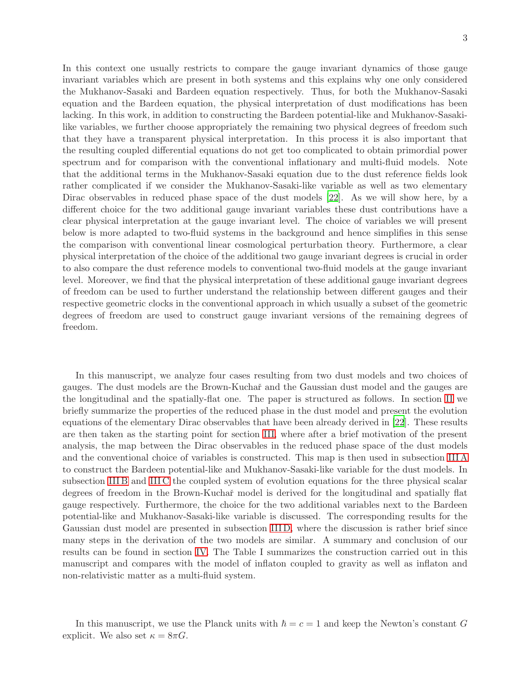In this context one usually restricts to compare the gauge invariant dynamics of those gauge invariant variables which are present in both systems and this explains why one only considered the Mukhanov-Sasaki and Bardeen equation respectively. Thus, for both the Mukhanov-Sasaki equation and the Bardeen equation, the physical interpretation of dust modifications has been lacking. In this work, in addition to constructing the Bardeen potential-like and Mukhanov-Sasakilike variables, we further choose appropriately the remaining two physical degrees of freedom such that they have a transparent physical interpretation. In this process it is also important that the resulting coupled differential equations do not get too complicated to obtain primordial power spectrum and for comparison with the conventional inflationary and multi-fluid models. Note that the additional terms in the Mukhanov-Sasaki equation due to the dust reference fields look rather complicated if we consider the Mukhanov-Sasaki-like variable as well as two elementary Dirac observables in reduced phase space of the dust models [\[22](#page-20-9)]. As we will show here, by a different choice for the two additional gauge invariant variables these dust contributions have a clear physical interpretation at the gauge invariant level. The choice of variables we will present below is more adapted to two-fluid systems in the background and hence simplifies in this sense the comparison with conventional linear cosmological perturbation theory. Furthermore, a clear physical interpretation of the choice of the additional two gauge invariant degrees is crucial in order to also compare the dust reference models to conventional two-fluid models at the gauge invariant level. Moreover, we find that the physical interpretation of these additional gauge invariant degrees of freedom can be used to further understand the relationship between different gauges and their respective geometric clocks in the conventional approach in which usually a subset of the geometric degrees of freedom are used to construct gauge invariant versions of the remaining degrees of freedom.

In this manuscript, we analyze four cases resulting from two dust models and two choices of gauges. The dust models are the Brown-Kuchaˇr and the Gaussian dust model and the gauges are the longitudinal and the spatially-flat one. The paper is structured as follows. In section [II](#page-4-0) we briefly summarize the properties of the reduced phase in the dust model and present the evolution equations of the elementary Dirac observables that have been already derived in [\[22](#page-20-9)]. These results are then taken as the starting point for section [III,](#page-7-0) where after a brief motivation of the present analysis, the map between the Dirac observables in the reduced phase space of the dust models and the conventional choice of variables is constructed. This map is then used in subsection [III A](#page-8-0) to construct the Bardeen potential-like and Mukhanov-Sasaki-like variable for the dust models. In subsection IIIB and IIIC the coupled system of evolution equations for the three physical scalar degrees of freedom in the Brown-Kuchař model is derived for the longitudinal and spatially flat gauge respectively. Furthermore, the choice for the two additional variables next to the Bardeen potential-like and Mukhanov-Sasaki-like variable is discussed. The corresponding results for the Gaussian dust model are presented in subsection [III D,](#page-14-0) where the discussion is rather brief since many steps in the derivation of the two models are similar. A summary and conclusion of our results can be found in section [IV.](#page-16-0) The Table I summarizes the construction carried out in this manuscript and compares with the model of inflaton coupled to gravity as well as inflaton and non-relativistic matter as a multi-fluid system.

In this manuscript, we use the Planck units with  $\hbar = c = 1$  and keep the Newton's constant G explicit. We also set  $\kappa = 8\pi G$ .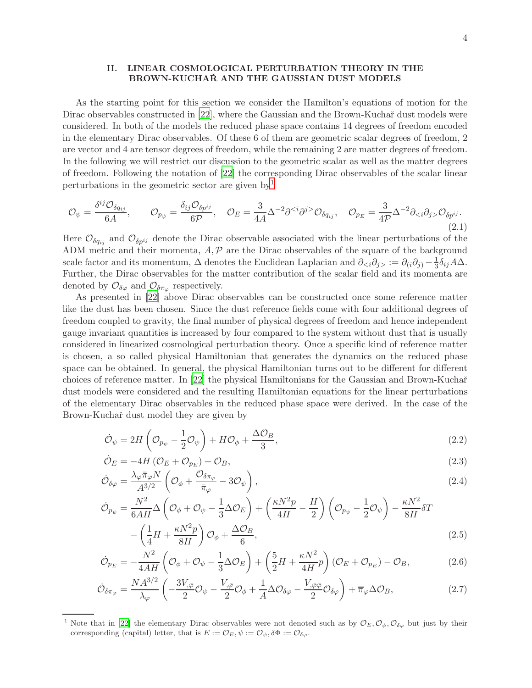# <span id="page-4-0"></span>II. LINEAR COSMOLOGICAL PERTURBATION THEORY IN THE BROWN-KUCHAR AND THE GAUSSIAN DUST MODELS

As the starting point for this section we consider the Hamilton's equations of motion for the Dirac observables constructed in [\[22\]](#page-20-9), where the Gaussian and the Brown-Kuchař dust models were considered. In both of the models the reduced phase space contains 14 degrees of freedom encoded in the elementary Dirac observables. Of these 6 of them are geometric scalar degrees of freedom, 2 are vector and 4 are tensor degrees of freedom, while the remaining 2 are matter degrees of freedom. In the following we will restrict our discussion to the geometric scalar as well as the matter degrees of freedom. Following the notation of [\[22](#page-20-9)] the corresponding Dirac observables of the scalar linear perturbations in the geometric sector are given by  $1$ 

$$
\mathcal{O}_{\psi} = \frac{\delta^{ij}\mathcal{O}_{\delta q_{ij}}}{6A}, \qquad \mathcal{O}_{p_{\psi}} = \frac{\delta_{ij}\mathcal{O}_{\delta p^{ij}}}{6\mathcal{P}}, \quad \mathcal{O}_{E} = \frac{3}{4A}\Delta^{-2}\partial^{} \mathcal{O}_{\delta q_{ij}}, \quad \mathcal{O}_{p_{E}} = \frac{3}{4\mathcal{P}}\Delta^{-2}\partial_{\n(2.1)
$$

Here  $\mathcal{O}_{\delta q_{ij}}$  and  $\mathcal{O}_{\delta p^{ij}}$  denote the Dirac observable associated with the linear perturbations of the ADM metric and their momenta,  $A, P$  are the Dirac observables of the square of the background scale factor and its momentum,  $\Delta$  denotes the Euclidean Laplacian and  $\partial_{\leq i}\partial_{j}$  :=  $\partial_{(i}\partial_{j)} - \frac{1}{3}$  $\frac{1}{3}\delta_{ij}A\Delta$ . Further, the Dirac observables for the matter contribution of the scalar field and its momenta are denoted by  $\mathcal{O}_{\delta\varphi}$  and  $\mathcal{O}_{\delta\pi_{\varphi}}$  respectively.

As presented in [\[22](#page-20-9)] above Dirac observables can be constructed once some reference matter like the dust has been chosen. Since the dust reference fields come with four additional degrees of freedom coupled to gravity, the final number of physical degrees of freedom and hence independent gauge invariant quantities is increased by four compared to the system without dust that is usually considered in linearized cosmological perturbation theory. Once a specific kind of reference matter is chosen, a so called physical Hamiltonian that generates the dynamics on the reduced phase space can be obtained. In general, the physical Hamiltonian turns out to be different for different choices of reference matter. In [\[22](#page-20-9)] the physical Hamiltonians for the Gaussian and Brown-Kuchař dust models were considered and the resulting Hamiltonian equations for the linear perturbations of the elementary Dirac observables in the reduced phase space were derived. In the case of the Brown-Kuchař dust model they are given by

<span id="page-4-2"></span>
$$
\dot{\mathcal{O}}_{\psi} = 2H\left(\mathcal{O}_{p_{\psi}} - \frac{1}{2}\mathcal{O}_{\psi}\right) + H\mathcal{O}_{\phi} + \frac{\Delta\mathcal{O}_{B}}{3},\tag{2.2}
$$

$$
\dot{\mathcal{O}}_E = -4H\left(\mathcal{O}_E + \mathcal{O}_{p_E}\right) + \mathcal{O}_B,\tag{2.3}
$$

$$
\dot{\mathcal{O}}_{\delta\varphi} = \frac{\lambda_{\varphi}\bar{\pi}_{\varphi}N}{A^{3/2}} \left(\mathcal{O}_{\phi} + \frac{\mathcal{O}_{\delta\pi_{\varphi}}}{\bar{\pi}_{\varphi}} - 3\mathcal{O}_{\psi}\right),\tag{2.4}
$$

$$
\dot{\mathcal{O}}_{p_{\psi}} = \frac{N^2}{6AH} \Delta \left( \mathcal{O}_{\phi} + \mathcal{O}_{\psi} - \frac{1}{3} \Delta \mathcal{O}_{E} \right) + \left( \frac{\kappa N^2 p}{4H} - \frac{H}{2} \right) \left( \mathcal{O}_{p_{\psi}} - \frac{1}{2} \mathcal{O}_{\psi} \right) - \frac{\kappa N^2}{8H} \delta T
$$
\n
$$
- \left( \frac{1}{4} H + \frac{\kappa N^2 p}{8H} \right) \mathcal{O}_{\phi} + \frac{\Delta \mathcal{O}_{B}}{8H},
$$
\n(2.5)

$$
-\left(\frac{1}{4}H + \frac{m}{8H}\right)\mathcal{O}_{\phi} + \frac{\mathcal{O}_{D}}{6},\tag{2.5}
$$
\n
$$
-\frac{N^{2}}{4}\left(\mathcal{O}_{\phi} + \mathcal{O}_{\phi}\right)\left(\mathcal{O}_{\phi} + \frac{1}{2}\mathcal{O}_{\phi}\right)\left(\mathcal{O}_{\phi} + \mathcal{O}_{\phi}\right)\left(\mathcal{O}_{\phi} + \mathcal{O}_{\phi}\right)\left(\mathcal{O}_{\phi} + \mathcal{O}_{\phi}\right)\left(\mathcal{O}_{\phi} + \mathcal{O}_{\phi}\right)\left(\mathcal{O}_{\phi}\right) \tag{2.6}
$$

$$
\dot{\mathcal{O}}_{PE} = -\frac{N^2}{4AH} \left( \mathcal{O}_{\phi} + \mathcal{O}_{\psi} - \frac{1}{3} \Delta \mathcal{O}_{E} \right) + \left( \frac{5}{2}H + \frac{\kappa N^2}{4H} p \right) \left( \mathcal{O}_{E} + \mathcal{O}_{PE} \right) - \mathcal{O}_{B},\tag{2.6}
$$

$$
\dot{\mathcal{O}}_{\delta\pi_{\varphi}} = \frac{NA^{3/2}}{\lambda_{\varphi}} \left( -\frac{3V_{,\bar{\varphi}}}{2} \mathcal{O}_{\psi} - \frac{V_{,\bar{\varphi}}}{2} \mathcal{O}_{\phi} + \frac{1}{A} \Delta \mathcal{O}_{\delta\varphi} - \frac{V_{,\bar{\varphi}\bar{\varphi}}}{2} \mathcal{O}_{\delta\varphi} \right) + \overline{\pi}_{\varphi} \Delta \mathcal{O}_{B},\tag{2.7}
$$

<span id="page-4-1"></span>Note that in [\[22\]](#page-20-9) the elementary Dirac observables were not denoted such as by  $\mathcal{O}_E, \mathcal{O}_\psi, \mathcal{O}_{\delta\varphi}$  but just by their corresponding (capital) letter, that is  $E := \mathcal{O}_E, \psi := \mathcal{O}_{\psi}, \delta \Phi := \mathcal{O}_{\delta \varphi}.$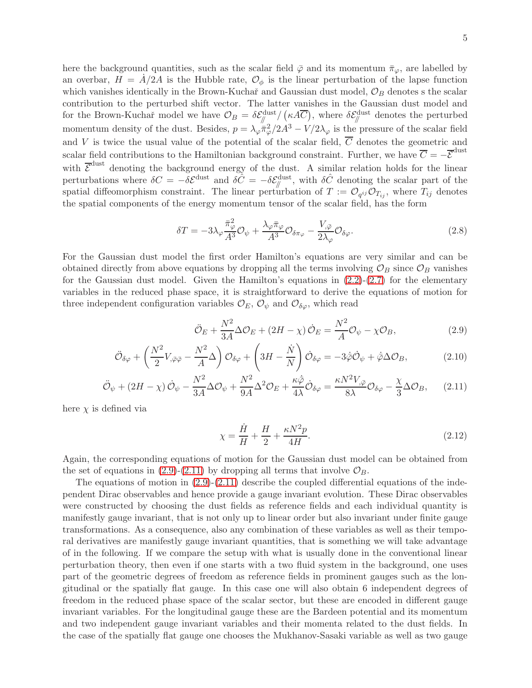5

here the background quantities, such as the scalar field  $\bar{\varphi}$  and its momentum  $\bar{\pi}_{\varphi}$ , are labelled by an overbar,  $H = A/2A$  is the Hubble rate,  $\mathcal{O}_{\phi}$  is the linear perturbation of the lapse function which vanishes identically in the Brown-Kuchař and Gaussian dust model,  $\mathcal{O}_B$  denotes s the scalar contribution to the perturbed shift vector. The latter vanishes in the Gaussian dust model and for the Brown-Kuchař model we have  $\mathcal{O}_B = \delta \mathcal{E}_{\parallel}^{\text{dust}}/(\kappa A \overline{C})$ , where  $\delta \mathcal{E}_{\parallel}^{\text{dust}}$  denotes the perturbed momentum density of the dust. Besides,  $p = \lambda_{\varphi} \bar{\pi}_{\varphi}^2/2A^3 - V/2\lambda_{\varphi}$  is the pressure of the scalar field and V is twice the usual value of the potential of the scalar field,  $\overline{C}$  denotes the geometric and scalar field contributions to the Hamiltonian background constraint. Further, we have  $\overline{C} = -\overline{\mathcal{E}}^{\text{dust}}$ with  $\overline{\mathcal{E}}^{\text{dust}}$  denoting the background energy of the dust. A similar relation holds for the linear perturbations where  $\delta C = -\delta \mathcal{E}^{\text{dust}}$  and  $\delta \hat{C} = -\delta \mathcal{E}^{\text{dust}}_{\parallel}$ , with  $\delta \hat{C}$  denoting the scalar part of the spatial diffeomorphism constraint. The linear perturbation of  $T := \mathcal{O}_{q^{ij}} \mathcal{O}_{T_{ij}}$ , where  $T_{ij}$  denotes the spatial components of the energy momentum tensor of the scalar field, has the form

$$
\delta T = -3\lambda_{\varphi} \frac{\bar{\pi}_{\varphi}^2}{A^3} \mathcal{O}_{\psi} + \frac{\lambda_{\varphi} \bar{\pi}_{\varphi}}{A^3} \mathcal{O}_{\delta \pi_{\varphi}} - \frac{V_{,\bar{\varphi}}}{2\lambda_{\varphi}} \mathcal{O}_{\delta \varphi}.
$$
\n(2.8)

For the Gaussian dust model the first order Hamilton's equations are very similar and can be obtained directly from above equations by dropping all the terms involving  $\mathcal{O}_B$  since  $\mathcal{O}_B$  vanishes for the Gaussian dust model. Given the Hamilton's equations in  $(2.2)-(2.7)$  $(2.2)-(2.7)$  for the elementary variables in the reduced phase space, it is straightforward to derive the equations of motion for three independent configuration variables  $\mathcal{O}_E$ ,  $\mathcal{O}_{\psi}$  and  $\mathcal{O}_{\delta\varphi}$ , which read

<span id="page-5-0"></span>
$$
\ddot{\mathcal{O}}_E + \frac{N^2}{3A} \Delta \mathcal{O}_E + (2H - \chi) \dot{\mathcal{O}}_E = \frac{N^2}{A} \mathcal{O}_{\psi} - \chi \mathcal{O}_B, \tag{2.9}
$$

$$
\ddot{\mathcal{O}}_{\delta\varphi} + \left(\frac{N^2}{2}V_{,\bar{\varphi}\bar{\varphi}} - \frac{N^2}{A}\Delta\right)\mathcal{O}_{\delta\varphi} + \left(3H - \frac{\dot{N}}{N}\right)\dot{\mathcal{O}}_{\delta\varphi} = -3\dot{\varphi}\dot{\mathcal{O}}_{\psi} + \dot{\bar{\varphi}}\Delta\mathcal{O}_{B},\tag{2.10}
$$

$$
\ddot{\mathcal{O}}_{\psi} + (2H - \chi) \dot{\mathcal{O}}_{\psi} - \frac{N^2}{3A} \Delta \mathcal{O}_{\psi} + \frac{N^2}{9A} \Delta^2 \mathcal{O}_{E} + \frac{\kappa \dot{\bar{\varphi}}}{4\lambda} \dot{\mathcal{O}}_{\delta \varphi} = \frac{\kappa N^2 V_{,\bar{\varphi}}}{8\lambda} \mathcal{O}_{\delta \varphi} - \frac{\chi}{3} \Delta \mathcal{O}_{B}, \qquad (2.11)
$$

here  $\chi$  is defined via

$$
\chi = \frac{\dot{H}}{H} + \frac{H}{2} + \frac{\kappa N^2 p}{4H}.\tag{2.12}
$$

Again, the corresponding equations of motion for the Gaussian dust model can be obtained from the set of equations in [\(2.9\)](#page-5-0)-[\(2.11\)](#page-5-0) by dropping all terms that involve  $\mathcal{O}_B$ .

The equations of motion in  $(2.9)-(2.11)$  $(2.9)-(2.11)$  describe the coupled differential equations of the independent Dirac observables and hence provide a gauge invariant evolution. These Dirac observables were constructed by choosing the dust fields as reference fields and each individual quantity is manifestly gauge invariant, that is not only up to linear order but also invariant under finite gauge transformations. As a consequence, also any combination of these variables as well as their temporal derivatives are manifestly gauge invariant quantities, that is something we will take advantage of in the following. If we compare the setup with what is usually done in the conventional linear perturbation theory, then even if one starts with a two fluid system in the background, one uses part of the geometric degrees of freedom as reference fields in prominent gauges such as the longitudinal or the spatially flat gauge. In this case one will also obtain 6 independent degrees of freedom in the reduced phase space of the scalar sector, but these are encoded in different gauge invariant variables. For the longitudinal gauge these are the Bardeen potential and its momentum and two independent gauge invariant variables and their momenta related to the dust fields. In the case of the spatially flat gauge one chooses the Mukhanov-Sasaki variable as well as two gauge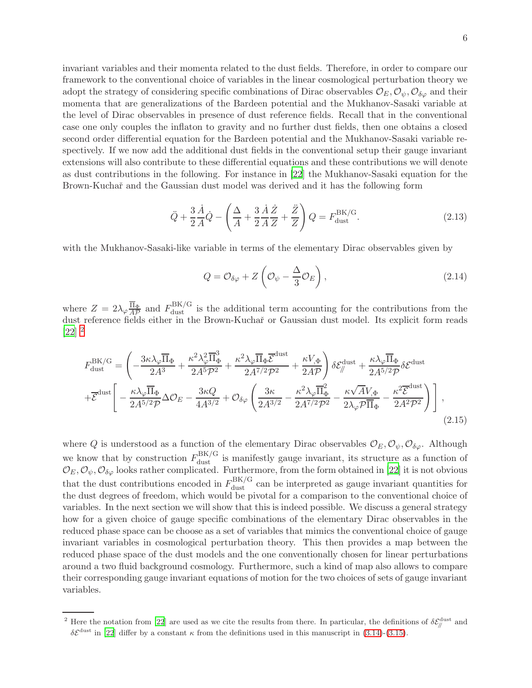invariant variables and their momenta related to the dust fields. Therefore, in order to compare our framework to the conventional choice of variables in the linear cosmological perturbation theory we adopt the strategy of considering specific combinations of Dirac observables  $\mathcal{O}_E, \mathcal{O}_\psi, \mathcal{O}_{\delta\varphi}$  and their momenta that are generalizations of the Bardeen potential and the Mukhanov-Sasaki variable at the level of Dirac observables in presence of dust reference fields. Recall that in the conventional case one only couples the inflaton to gravity and no further dust fields, then one obtains a closed second order differential equation for the Bardeen potential and the Mukhanov-Sasaki variable respectively. If we now add the additional dust fields in the conventional setup their gauge invariant extensions will also contribute to these differential equations and these contributions we will denote as dust contributions in the following. For instance in [\[22](#page-20-9)] the Mukhanov-Sasaki equation for the Brown-Kuchař and the Gaussian dust model was derived and it has the following form

$$
\ddot{Q} + \frac{3}{2}\frac{\dot{A}}{A}\dot{Q} - \left(\frac{\Delta}{A} + \frac{3}{2}\frac{\dot{A}}{A}\frac{\dot{Z}}{Z} + \frac{\ddot{Z}}{Z}\right)Q = F_{\text{dust}}^{\text{BK/G}}.
$$
\n(2.13)

with the Mukhanov-Sasaki-like variable in terms of the elementary Dirac observables given by

$$
Q = \mathcal{O}_{\delta\varphi} + Z\left(\mathcal{O}_{\psi} - \frac{\Delta}{3}\mathcal{O}_E\right),\tag{2.14}
$$

where  $Z = 2\lambda_{\varphi} \frac{\overline{\Pi}_{\Phi}}{A\mathcal{P}}$  and  $F_{\text{dust}}^{\text{BK/G}}$  is the additional term accounting for the contributions from the dust reference fields either in the Brown-Kuchař or Gaussian dust model. Its explicit form reads  $[22]$ <sup>[2](#page-6-0)</sup>

$$
F_{\text{dust}}^{\text{BK/G}} = \left( -\frac{3\kappa\lambda_{\varphi}\overline{\Pi}_{\Phi}}{2A^{3}} + \frac{\kappa^{2}\lambda_{\varphi}^{2}\overline{\Pi}_{\Phi}^{3}}{2A^{5}\mathcal{P}^{2}} + \frac{\kappa^{2}\lambda_{\varphi}\overline{\Pi}_{\Phi}\overline{\mathcal{E}}^{\text{dust}}}{2A^{7/2}\mathcal{P}^{2}} + \frac{\kappa V_{,\Phi}}{2A\mathcal{P}} \right) \delta \mathcal{E}_{\parallel}^{\text{dust}} + \frac{\kappa\lambda_{\varphi}\overline{\Pi}_{\Phi}}{2A^{5/2}\mathcal{P}} \delta \mathcal{E}^{\text{dust}}
$$

$$
+ \overline{\mathcal{E}}^{\text{dust}} \left[ -\frac{\kappa\lambda_{\varphi}\overline{\Pi}_{\Phi}}{2A^{5/2}\mathcal{P}} \Delta \mathcal{O}_{E} - \frac{3\kappa Q}{4A^{3/2}} + \mathcal{O}_{\delta\varphi} \left( \frac{3\kappa}{2A^{3/2}} - \frac{\kappa^{2}\lambda_{\varphi}\overline{\Pi}_{\Phi}^{2}}{2A^{7/2}\mathcal{P}^{2}} - \frac{\kappa\sqrt{A}V_{,\Phi}}{2\lambda_{\varphi}\mathcal{P}\overline{\Pi}_{\Phi}} - \frac{\kappa^{2}\overline{\mathcal{E}}^{\text{dust}}}{2A^{2}\mathcal{P}^{2}} \right) \right],
$$
(2.15)

where Q is understood as a function of the elementary Dirac observables  $\mathcal{O}_E, \mathcal{O}_\psi, \mathcal{O}_{\delta\varphi}$ . Although we know that by construction  $F_{\text{dust}}^{\text{BK/G}}$  is manifestly gauge invariant, its structure as a function of  $\mathcal{O}_E, \mathcal{O}_\psi, \mathcal{O}_{\delta\varphi}$  looks rather complicated. Furthermore, from the form obtained in [\[22\]](#page-20-9) it is not obvious that the dust contributions encoded in  $F_{\text{dust}}^{\text{BK/G}}$  can be interpreted as gauge invariant quantities for the dust degrees of freedom, which would be pivotal for a comparison to the conventional choice of variables. In the next section we will show that this is indeed possible. We discuss a general strategy how for a given choice of gauge specific combinations of the elementary Dirac observables in the reduced phase space can be choose as a set of variables that mimics the conventional choice of gauge invariant variables in cosmological perturbation theory. This then provides a map between the reduced phase space of the dust models and the one conventionally chosen for linear perturbations around a two fluid background cosmology. Furthermore, such a kind of map also allows to compare their corresponding gauge invariant equations of motion for the two choices of sets of gauge invariant variables.

<span id="page-6-0"></span><sup>&</sup>lt;sup>2</sup> Here the notation from [\[22](#page-20-9)] are used as we cite the results from there. In particular, the definitions of  $\delta \mathcal{E}_{\parallel}^{\text{dust}}$  and  $\delta \mathcal{E}^{\text{dust}}$  in [\[22](#page-20-9)] differ by a constant  $\kappa$  from the definitions used in this manuscript in [\(3.14\)](#page-10-0)-[\(3.15\)](#page-10-0).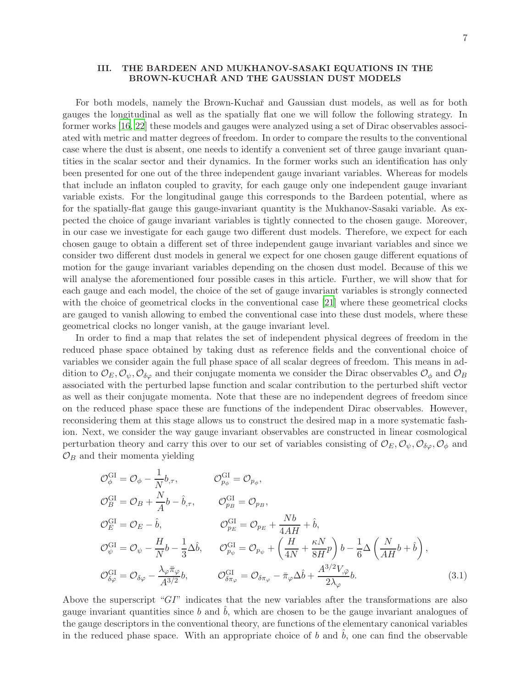# <span id="page-7-0"></span>III. THE BARDEEN AND MUKHANOV-SASAKI EQUATIONS IN THE BROWN-KUCHAR AND THE GAUSSIAN DUST MODELS

For both models, namely the Brown-Kuchaˇr and Gaussian dust models, as well as for both gauges the longitudinal as well as the spatially flat one we will follow the following strategy. In former works [\[16](#page-20-8), [22\]](#page-20-9) these models and gauges were analyzed using a set of Dirac observables associated with metric and matter degrees of freedom. In order to compare the results to the conventional case where the dust is absent, one needs to identify a convenient set of three gauge invariant quantities in the scalar sector and their dynamics. In the former works such an identification has only been presented for one out of the three independent gauge invariant variables. Whereas for models that include an inflaton coupled to gravity, for each gauge only one independent gauge invariant variable exists. For the longitudinal gauge this corresponds to the Bardeen potential, where as for the spatially-flat gauge this gauge-invariant quantity is the Mukhanov-Sasaki variable. As expected the choice of gauge invariant variables is tightly connected to the chosen gauge. Moreover, in our case we investigate for each gauge two different dust models. Therefore, we expect for each chosen gauge to obtain a different set of three independent gauge invariant variables and since we consider two different dust models in general we expect for one chosen gauge different equations of motion for the gauge invariant variables depending on the chosen dust model. Because of this we will analyse the aforementioned four possible cases in this article. Further, we will show that for each gauge and each model, the choice of the set of gauge invariant variables is strongly connected with the choice of geometrical clocks in the conventional case [\[21](#page-20-11)] where these geometrical clocks are gauged to vanish allowing to embed the conventional case into these dust models, where these geometrical clocks no longer vanish, at the gauge invariant level.

In order to find a map that relates the set of independent physical degrees of freedom in the reduced phase space obtained by taking dust as reference fields and the conventional choice of variables we consider again the full phase space of all scalar degrees of freedom. This means in addition to  $\mathcal{O}_E, \mathcal{O}_\psi, \mathcal{O}_{\delta\varphi}$  and their conjugate momenta we consider the Dirac observables  $\mathcal{O}_\phi$  and  $\mathcal{O}_B$ associated with the perturbed lapse function and scalar contribution to the perturbed shift vector as well as their conjugate momenta. Note that these are no independent degrees of freedom since on the reduced phase space these are functions of the independent Dirac observables. However, reconsidering them at this stage allows us to construct the desired map in a more systematic fashion. Next, we consider the way gauge invariant observables are constructed in linear cosmological perturbation theory and carry this over to our set of variables consisting of  $\mathcal{O}_E, \mathcal{O}_\psi, \mathcal{O}_{\delta\varphi}, \mathcal{O}_\phi$  and  $\mathcal{O}_B$  and their momenta yielding

<span id="page-7-1"></span>
$$
\mathcal{O}_{\phi}^{\text{GI}} = \mathcal{O}_{\phi} - \frac{1}{N} b_{,\tau}, \qquad \mathcal{O}_{p_{\phi}}^{\text{GI}} = \mathcal{O}_{p_{\phi}},
$$
\n
$$
\mathcal{O}_{B}^{\text{GI}} = \mathcal{O}_{B} + \frac{N}{A} b - \hat{b}_{,\tau}, \qquad \mathcal{O}_{p_{B}}^{\text{GI}} = \mathcal{O}_{p_{B}},
$$
\n
$$
\mathcal{O}_{E}^{\text{GI}} = \mathcal{O}_{E} - \hat{b}, \qquad \mathcal{O}_{p_{E}}^{\text{GI}} = \mathcal{O}_{p_{E}} + \frac{Nb}{4AH} + \hat{b},
$$
\n
$$
\mathcal{O}_{\psi}^{\text{GI}} = \mathcal{O}_{\psi} - \frac{H}{N} b - \frac{1}{3} \Delta \hat{b}, \qquad \mathcal{O}_{p_{\psi}}^{\text{GI}} = \mathcal{O}_{p_{\psi}} + \left(\frac{H}{4N} + \frac{\kappa N}{8H} p\right) b - \frac{1}{6} \Delta \left(\frac{N}{AH} b + \hat{b}\right),
$$
\n
$$
\mathcal{O}_{\delta\varphi}^{\text{GI}} = \mathcal{O}_{\delta\varphi} - \frac{\lambda_{\varphi} \bar{\pi}_{\varphi}}{A^{3/2} b}, \qquad \mathcal{O}_{\delta\pi_{\varphi}}^{\text{GI}} = \mathcal{O}_{\delta\pi_{\varphi}} - \bar{\pi}_{\varphi} \Delta \hat{b} + \frac{A^{3/2} V_{,\bar{\varphi}}}{2\lambda_{\varphi}} b. \tag{3.1}
$$

Above the superscript " $GT$ " indicates that the new variables after the transformations are also gauge invariant quantities since b and  $\hat{b}$ , which are chosen to be the gauge invariant analogues of the gauge descriptors in the conventional theory, are functions of the elementary canonical variables in the reduced phase space. With an appropriate choice of  $b$  and  $b$ , one can find the observable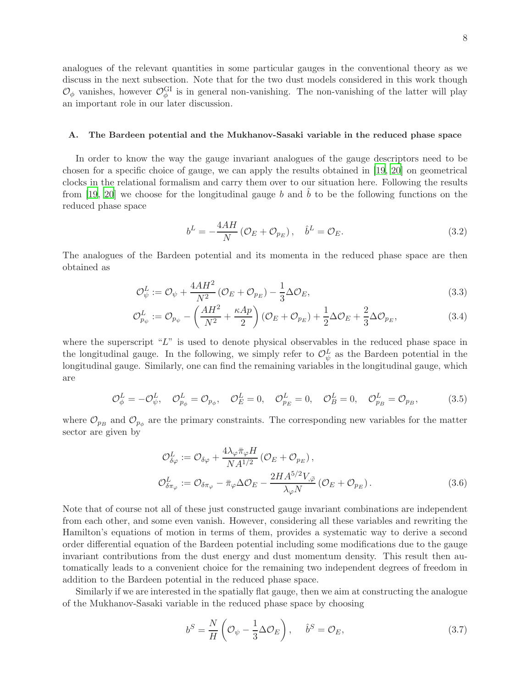8

analogues of the relevant quantities in some particular gauges in the conventional theory as we discuss in the next subsection. Note that for the two dust models considered in this work though  $\mathcal{O}_{\phi}$  vanishes, however  $\mathcal{O}_{\phi}^{\text{GI}}$  is in general non-vanishing. The non-vanishing of the latter will play an important role in our later discussion.

### <span id="page-8-0"></span>A. The Bardeen potential and the Mukhanov-Sasaki variable in the reduced phase space

In order to know the way the gauge invariant analogues of the gauge descriptors need to be chosen for a specific choice of gauge, we can apply the results obtained in [\[19,](#page-20-12) [20](#page-20-10)] on geometrical clocks in the relational formalism and carry them over to our situation here. Following the results from [\[19](#page-20-12), [20](#page-20-10)] we choose for the longitudinal gauge b and b to be the following functions on the reduced phase space

<span id="page-8-1"></span>
$$
b^{L} = -\frac{4AH}{N} \left( \mathcal{O}_{E} + \mathcal{O}_{p_{E}} \right), \quad \hat{b}^{L} = \mathcal{O}_{E}.
$$
\n(3.2)

The analogues of the Bardeen potential and its momenta in the reduced phase space are then obtained as

<span id="page-8-3"></span>
$$
\mathcal{O}_{\psi}^{L} := \mathcal{O}_{\psi} + \frac{4AH^2}{N^2} \left( \mathcal{O}_E + \mathcal{O}_{p_E} \right) - \frac{1}{3} \Delta \mathcal{O}_E, \tag{3.3}
$$

$$
\mathcal{O}_{p_{\psi}}^{L} := \mathcal{O}_{p_{\psi}} - \left(\frac{AH^2}{N^2} + \frac{\kappa Ap}{2}\right)(\mathcal{O}_E + \mathcal{O}_{p_E}) + \frac{1}{2}\Delta\mathcal{O}_E + \frac{2}{3}\Delta\mathcal{O}_{p_E},\tag{3.4}
$$

where the superscript " $L$ " is used to denote physical observables in the reduced phase space in the longitudinal gauge. In the following, we simply refer to  $\mathcal{O}_{\psi}^{L}$  as the Bardeen potential in the longitudinal gauge. Similarly, one can find the remaining variables in the longitudinal gauge, which are

$$
\mathcal{O}_{\phi}^{L} = -\mathcal{O}_{\psi}^{L}, \quad \mathcal{O}_{p_{\phi}}^{L} = \mathcal{O}_{p_{\phi}}, \quad \mathcal{O}_{E}^{L} = 0, \quad \mathcal{O}_{p_{E}}^{L} = 0, \quad \mathcal{O}_{B}^{L} = 0, \quad \mathcal{O}_{p_{B}}^{L} = \mathcal{O}_{p_{B}}, \tag{3.5}
$$

where  $\mathcal{O}_{p_B}$  and  $\mathcal{O}_{p_\phi}$  are the primary constraints. The corresponding new variables for the matter sector are given by

<span id="page-8-4"></span>
$$
\mathcal{O}_{\delta\varphi}^{L} := \mathcal{O}_{\delta\varphi} + \frac{4\lambda_{\varphi}\bar{\pi}_{\varphi}H}{NA^{1/2}} \left(\mathcal{O}_{E} + \mathcal{O}_{p_{E}}\right),
$$
\n
$$
\mathcal{O}_{\delta\pi_{\varphi}}^{L} := \mathcal{O}_{\delta\pi_{\varphi}} - \bar{\pi}_{\varphi}\Delta\mathcal{O}_{E} - \frac{2HA^{5/2}V_{,\bar{\varphi}}}{\lambda_{\varphi}N}\left(\mathcal{O}_{E} + \mathcal{O}_{p_{E}}\right).
$$
\n(3.6)

Note that of course not all of these just constructed gauge invariant combinations are independent from each other, and some even vanish. However, considering all these variables and rewriting the Hamilton's equations of motion in terms of them, provides a systematic way to derive a second order differential equation of the Bardeen potential including some modifications due to the gauge invariant contributions from the dust energy and dust momentum density. This result then automatically leads to a convenient choice for the remaining two independent degrees of freedom in addition to the Bardeen potential in the reduced phase space.

Similarly if we are interested in the spatially flat gauge, then we aim at constructing the analogue of the Mukhanov-Sasaki variable in the reduced phase space by choosing

<span id="page-8-2"></span>
$$
b^S = \frac{N}{H} \left( \mathcal{O}_{\psi} - \frac{1}{3} \Delta \mathcal{O}_E \right), \quad \hat{b}^S = \mathcal{O}_E, \tag{3.7}
$$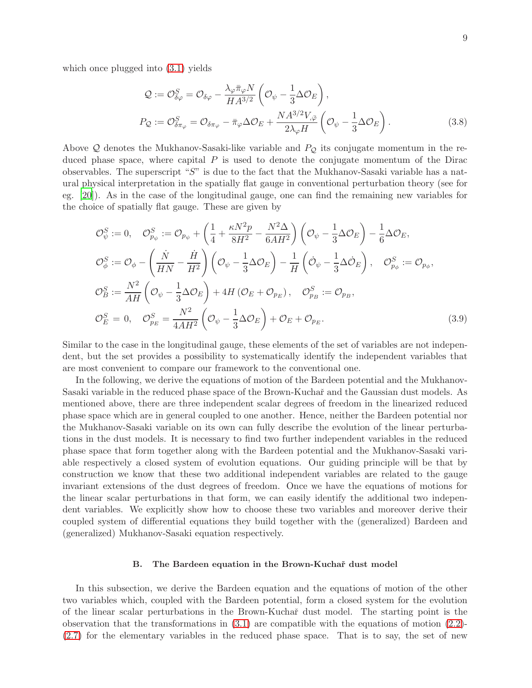which once plugged into [\(3.1\)](#page-7-1) yields

<span id="page-9-1"></span>
$$
Q := \mathcal{O}_{\delta\varphi}^{S} = \mathcal{O}_{\delta\varphi} - \frac{\lambda_{\varphi}\bar{\pi}_{\varphi}N}{HA^{3/2}} \left(\mathcal{O}_{\psi} - \frac{1}{3}\Delta\mathcal{O}_{E}\right),
$$
  
\n
$$
P_{Q} := \mathcal{O}_{\delta\pi_{\varphi}}^{S} = \mathcal{O}_{\delta\pi_{\varphi}} - \bar{\pi}_{\varphi}\Delta\mathcal{O}_{E} + \frac{NA^{3/2}V_{,\bar{\varphi}}}{2\lambda_{\varphi}H} \left(\mathcal{O}_{\psi} - \frac{1}{3}\Delta\mathcal{O}_{E}\right).
$$
\n(3.8)

Above Q denotes the Mukhanov-Sasaki-like variable and  $P_{\mathcal{Q}}$  its conjugate momentum in the reduced phase space, where capital  $P$  is used to denote the conjugate momentum of the Dirac observables. The superscript "S" is due to the fact that the Mukhanov-Sasaki variable has a natural physical interpretation in the spatially flat gauge in conventional perturbation theory (see for eg. [\[20](#page-20-10)]). As in the case of the longitudinal gauge, one can find the remaining new variables for the choice of spatially flat gauge. These are given by

$$
\mathcal{O}_{\psi}^{S} := 0, \quad \mathcal{O}_{p_{\psi}}^{S} := \mathcal{O}_{p_{\psi}} + \left(\frac{1}{4} + \frac{\kappa N^{2} p}{8H^{2}} - \frac{N^{2} \Delta}{6AH^{2}}\right) \left(\mathcal{O}_{\psi} - \frac{1}{3} \Delta \mathcal{O}_{E}\right) - \frac{1}{6} \Delta \mathcal{O}_{E},
$$
\n
$$
\mathcal{O}_{\phi}^{S} := \mathcal{O}_{\phi} - \left(\frac{\dot{N}}{HN} - \frac{\dot{H}}{H^{2}}\right) \left(\mathcal{O}_{\psi} - \frac{1}{3} \Delta \mathcal{O}_{E}\right) - \frac{1}{H} \left(\mathcal{O}_{\psi} - \frac{1}{3} \Delta \mathcal{O}_{E}\right), \quad \mathcal{O}_{p_{\phi}}^{S} := \mathcal{O}_{p_{\phi}},
$$
\n
$$
\mathcal{O}_{B}^{S} := \frac{N^{2}}{AH} \left(\mathcal{O}_{\psi} - \frac{1}{3} \Delta \mathcal{O}_{E}\right) + 4H \left(\mathcal{O}_{E} + \mathcal{O}_{p_{E}}\right), \quad \mathcal{O}_{p_{B}}^{S} := \mathcal{O}_{p_{B}},
$$
\n
$$
\mathcal{O}_{E}^{S} = 0, \quad \mathcal{O}_{p_{E}}^{S} = \frac{N^{2}}{4AH^{2}} \left(\mathcal{O}_{\psi} - \frac{1}{3} \Delta \mathcal{O}_{E}\right) + \mathcal{O}_{E} + \mathcal{O}_{p_{E}}.
$$
\n(3.9)

Similar to the case in the longitudinal gauge, these elements of the set of variables are not independent, but the set provides a possibility to systematically identify the independent variables that are most convenient to compare our framework to the conventional one.

In the following, we derive the equations of motion of the Bardeen potential and the Mukhanov-Sasaki variable in the reduced phase space of the Brown-Kuchař and the Gaussian dust models. As mentioned above, there are three independent scalar degrees of freedom in the linearized reduced phase space which are in general coupled to one another. Hence, neither the Bardeen potential nor the Mukhanov-Sasaki variable on its own can fully describe the evolution of the linear perturbations in the dust models. It is necessary to find two further independent variables in the reduced phase space that form together along with the Bardeen potential and the Mukhanov-Sasaki variable respectively a closed system of evolution equations. Our guiding principle will be that by construction we know that these two additional independent variables are related to the gauge invariant extensions of the dust degrees of freedom. Once we have the equations of motions for the linear scalar perturbations in that form, we can easily identify the additional two independent variables. We explicitly show how to choose these two variables and moreover derive their coupled system of differential equations they build together with the (generalized) Bardeen and (generalized) Mukhanov-Sasaki equation respectively.

### <span id="page-9-0"></span>B. The Bardeen equation in the Brown-Kuchař dust model

In this subsection, we derive the Bardeen equation and the equations of motion of the other two variables which, coupled with the Bardeen potential, form a closed system for the evolution of the linear scalar perturbations in the Brown-Kuchaˇr dust model. The starting point is the observation that the transformations in  $(3.1)$  are compatible with the equations of motion  $(2.2)$ -[\(2.7\)](#page-4-2) for the elementary variables in the reduced phase space. That is to say, the set of new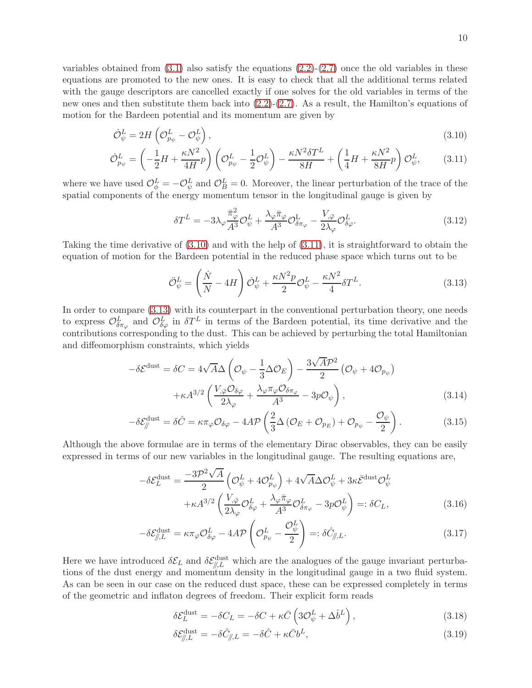variables obtained from  $(3.1)$  also satisfy the equations  $(2.2)-(2.7)$  $(2.2)-(2.7)$  once the old variables in these equations are promoted to the new ones. It is easy to check that all the additional terms related with the gauge descriptors are cancelled exactly if one solves for the old variables in terms of the new ones and then substitute them back into [\(2.2\)](#page-4-2)-[\(2.7\)](#page-4-2). As a result, the Hamilton's equations of motion for the Bardeen potential and its momentum are given by

<span id="page-10-1"></span>
$$
\dot{\mathcal{O}}_{\psi}^{L} = 2H \left( \mathcal{O}_{p_{\psi}}^{L} - \mathcal{O}_{\psi}^{L} \right),\tag{3.10}
$$

$$
\dot{\mathcal{O}}_{p_{\psi}}^{L} = \left(-\frac{1}{2}H + \frac{\kappa N^2}{4H}p\right)\left(\mathcal{O}_{p_{\psi}}^{L} - \frac{1}{2}\mathcal{O}_{\psi}^{L}\right) - \frac{\kappa N^2 \delta T^L}{8H} + \left(\frac{1}{4}H + \frac{\kappa N^2}{8H}p\right)\mathcal{O}_{\psi}^{L},\tag{3.11}
$$

where we have used  $\mathcal{O}_{\phi}^{L} = -\mathcal{O}_{\psi}^{L}$  and  $\mathcal{O}_{B}^{L} = 0$ . Moreover, the linear perturbation of the trace of the spatial components of the energy momentum tensor in the longitudinal gauge is given by

$$
\delta T^{L} = -3\lambda_{\varphi} \frac{\bar{\pi}_{\varphi}^{2}}{A^{3}} \mathcal{O}_{\psi}^{L} + \frac{\lambda_{\varphi} \bar{\pi}_{\varphi}}{A^{3}} \mathcal{O}_{\delta \pi_{\varphi}}^{L} - \frac{V_{,\bar{\varphi}}}{2\lambda_{\varphi}} \mathcal{O}_{\delta \varphi}^{L}.
$$
\n(3.12)

Taking the time derivative of  $(3.10)$  and with the help of  $(3.11)$ , it is straightforward to obtain the equation of motion for the Bardeen potential in the reduced phase space which turns out to be

<span id="page-10-2"></span>
$$
\ddot{\mathcal{O}}_{\psi}^{L} = \left(\frac{\dot{N}}{N} - 4H\right)\dot{\mathcal{O}}_{\psi}^{L} + \frac{\kappa N^{2}p}{2}\mathcal{O}_{\psi}^{L} - \frac{\kappa N^{2}}{4}\delta T^{L}.
$$
\n(3.13)

In order to compare [\(3.13\)](#page-10-2) with its counterpart in the conventional perturbation theory, one needs to express  $\mathcal{O}^L_{\delta\pi_\varphi}$  and  $\mathcal{O}^L_{\delta\varphi}$  in  $\delta T^L$  in terms of the Bardeen potential, its time derivative and the contributions corresponding to the dust. This can be achieved by perturbing the total Hamiltonian and diffeomorphism constraints, which yields

<span id="page-10-0"></span>
$$
-\delta \mathcal{E}^{\text{dust}} = \delta C = 4\sqrt{A}\Delta \left(\mathcal{O}_{\psi} - \frac{1}{3}\Delta \mathcal{O}_{E}\right) - \frac{3\sqrt{A}\mathcal{P}^{2}}{2} \left(\mathcal{O}_{\psi} + 4\mathcal{O}_{p_{\psi}}\right) + \kappa A^{3/2} \left(\frac{V_{,\bar{\varphi}}\mathcal{O}_{\delta\varphi}}{2\lambda_{\varphi}} + \frac{\lambda_{\varphi}\pi_{\varphi}\mathcal{O}_{\delta\pi_{\varphi}}}{A^{3}} - 3p\mathcal{O}_{\psi}\right),
$$
(3.14)

$$
-\delta \mathcal{E}_{\parallel}^{\text{dust}} = \delta \hat{C} = \kappa \pi_{\varphi} \mathcal{O}_{\delta \varphi} - 4A \mathcal{P} \left( \frac{2}{3} \Delta \left( \mathcal{O}_E + \mathcal{O}_{p_E} \right) + \mathcal{O}_{p_{\psi}} - \frac{\mathcal{O}_{\psi}}{2} \right). \tag{3.15}
$$

Although the above formulae are in terms of the elementary Dirac observables, they can be easily expressed in terms of our new variables in the longitudinal gauge. The resulting equations are,

<span id="page-10-3"></span>
$$
-\delta \mathcal{E}_L^{\text{dust}} = \frac{-3\mathcal{P}^2 \sqrt{A}}{2} \left( \mathcal{O}_{\psi}^L + 4\mathcal{O}_{p_{\psi}}^L \right) + 4\sqrt{A} \Delta \mathcal{O}_{\psi}^L + 3\kappa \bar{\mathcal{E}}^{\text{dust}} \mathcal{O}_{\psi}^L + \kappa A^{3/2} \left( \frac{V_{,\bar{\varphi}}}{2\lambda_{\varphi}} \mathcal{O}_{\delta\varphi}^L + \frac{\lambda_{\varphi} \bar{\pi}_{\varphi}}{A^3} \mathcal{O}_{\delta\pi_{\varphi}}^L - 3p \mathcal{O}_{\psi}^L \right) =: \delta C_L,
$$
\n(3.16)

$$
-\delta \mathcal{E}_{\parallel,L}^{\text{dust}} = \kappa \pi_{\varphi} \mathcal{O}_{\delta \varphi}^{L} - 4A \mathcal{P} \left( \mathcal{O}_{p_{\psi}}^{L} - \frac{\mathcal{O}_{\psi}^{L}}{2} \right) =: \delta \hat{C}_{\parallel,L}.
$$
\n(3.17)

Here we have introduced  $\delta \mathcal{E}_L$  and  $\delta \mathcal{E}_{\parallel,L}^{\text{dust}}$  which are the analogues of the gauge invariant perturbations of the dust energy and momentum density in the longitudinal gauge in a two fluid system. As can be seen in our case on the reduced dust space, these can be expressed completely in terms of the geometric and inflaton degrees of freedom. Their explicit form reads

<span id="page-10-4"></span>
$$
\delta \mathcal{E}_L^{\text{dust}} = -\delta C_L = -\delta C + \kappa \bar{C} \left( 3\mathcal{O}_{\psi}^L + \Delta \hat{b}^L \right),\tag{3.18}
$$

$$
\delta \mathcal{E}_{\parallel,L}^{\text{dust}} = -\delta \hat{C}_{\parallel,L} = -\delta \hat{C} + \kappa \bar{C} b^L,\tag{3.19}
$$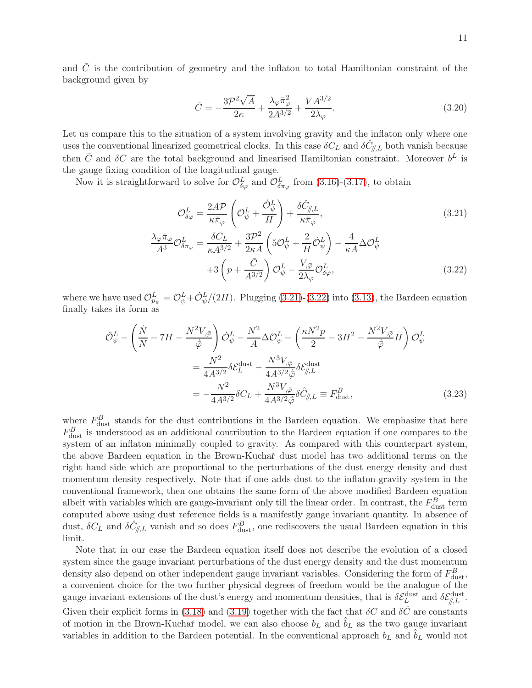and  $\overline{C}$  is the contribution of geometry and the inflaton to total Hamiltonian constraint of the background given by

$$
\bar{C} = -\frac{3\mathcal{P}^2\sqrt{A}}{2\kappa} + \frac{\lambda_{\varphi}\bar{\pi}_{\varphi}^2}{2A^{3/2}} + \frac{VA^{3/2}}{2\lambda_{\varphi}}.\tag{3.20}
$$

Let us compare this to the situation of a system involving gravity and the inflaton only where one uses the conventional linearized geometrical clocks. In this case  $\delta C_L$  and  $\delta \hat{C}_{\parallel,L}$  both vanish because then  $\bar{C}$  and  $\delta C$  are the total background and linearised Hamiltonian constraint. Moreover  $b^L$  is the gauge fixing condition of the longitudinal gauge.

Now it is straightforward to solve for  $\mathcal{O}^L_{\delta\varphi}$  and  $\mathcal{O}^L_{\delta\pi_{\varphi}}$  from [\(3.16\)](#page-10-3)-[\(3.17\)](#page-10-3), to obtain

<span id="page-11-0"></span>
$$
\mathcal{O}_{\delta\varphi}^{L} = \frac{2A\mathcal{P}}{\kappa\bar{\pi}_{\varphi}} \left( \mathcal{O}_{\psi}^{L} + \frac{\dot{\mathcal{O}}_{\psi}^{L}}{H} \right) + \frac{\delta\hat{C}_{\mathit{//},L}}{\kappa\bar{\pi}_{\varphi}},
$$
\n
$$
\frac{\lambda_{\varphi}\bar{\pi}_{\varphi}}{A^{3}} \mathcal{O}_{\delta\pi_{\varphi}}^{L} = \frac{\delta C_{L}}{\kappa A^{3/2}} + \frac{3\mathcal{P}^{2}}{2\kappa A} \left( 5\mathcal{O}_{\psi}^{L} + \frac{2}{H} \dot{\mathcal{O}}_{\psi}^{L} \right) - \frac{4}{\kappa A} \Delta \mathcal{O}_{\psi}^{L}
$$
\n
$$
+ 3\left( p + \frac{\bar{C}}{A^{3/2}} \right) \mathcal{O}_{\psi}^{L} - \frac{V_{,\bar{\varphi}}}{2\lambda_{\varphi}} \mathcal{O}_{\delta\varphi}^{L},
$$
\n(3.22)

where we have used  $\mathcal{O}_{p_{\psi}}^L = \mathcal{O}_{\psi}^L + \mathcal{O}_{\psi}^L/(2H)$ . Plugging [\(3.21\)](#page-11-0)-[\(3.22\)](#page-11-0) into [\(3.13\)](#page-10-2), the Bardeen equation finally takes its form as

<span id="page-11-1"></span>
$$
\ddot{\mathcal{O}}_{\psi}^{L} - \left(\frac{\dot{N}}{N} - 7H - \frac{N^{2}V_{,\bar{\varphi}}}{\dot{\bar{\varphi}}}\right)\dot{\mathcal{O}}_{\psi}^{L} - \frac{N^{2}}{A}\Delta\mathcal{O}_{\psi}^{L} - \left(\frac{\kappa N^{2}p}{2} - 3H^{2} - \frac{N^{2}V_{,\bar{\varphi}}}{\dot{\bar{\varphi}}}H\right)\mathcal{O}_{\psi}^{L}
$$
\n
$$
= \frac{N^{2}}{4A^{3/2}}\delta\mathcal{E}_{L}^{\text{dust}} - \frac{N^{3}V_{,\bar{\varphi}}}{4A^{3/2}\dot{\bar{\varphi}}}\delta\mathcal{E}_{\parallel/L}^{\text{dust}}
$$
\n
$$
= -\frac{N^{2}}{4A^{3/2}}\delta C_{L} + \frac{N^{3}V_{,\bar{\varphi}}}{4A^{3/2}\dot{\bar{\varphi}}}\delta\hat{C}_{\parallel,L} \equiv F_{\text{dust}}^{B}, \tag{3.23}
$$

where  $F_{\text{dust}}^B$  stands for the dust contributions in the Bardeen equation. We emphasize that here  $F_{\text{dust}}^B$  is understood as an additional contribution to the Bardeen equation if one compares to the system of an inflaton minimally coupled to gravity. As compared with this counterpart system, the above Bardeen equation in the Brown-Kuchaˇr dust model has two additional terms on the right hand side which are proportional to the perturbations of the dust energy density and dust momentum density respectively. Note that if one adds dust to the inflaton-gravity system in the conventional framework, then one obtains the same form of the above modified Bardeen equation albeit with variables which are gauge-invariant only till the linear order. In contrast, the  $F_{\text{dust}}^{B}$  term computed above using dust reference fields is a manifestly gauge invariant quantity. In absence of dust,  $\delta C_L$  and  $\delta \hat{C}_{\/,L}$  vanish and so does  $F_{\text{dust}}^B$ , one rediscovers the usual Bardeen equation in this limit.

Note that in our case the Bardeen equation itself does not describe the evolution of a closed system since the gauge invariant perturbations of the dust energy density and the dust momentum density also depend on other independent gauge invariant variables. Considering the form of  $F_{\text{dust}}^B$ , a convenient choice for the two further physical degrees of freedom would be the analogue of the gauge invariant extensions of the dust's energy and momentum densities, that is  $\delta \mathcal{E}_L^{\text{dust}}$  and  $\delta \mathcal{E}_{\parallel,L}^{\text{dust}}$ . Given their explicit forms in [\(3.18\)](#page-10-4) and [\(3.19\)](#page-10-4) together with the fact that  $\delta C$  and  $\delta \hat{C}$  are constants of motion in the Brown-Kuchař model, we can also choose  $b<sub>L</sub>$  and  $b<sub>L</sub>$  as the two gauge invariant variables in addition to the Bardeen potential. In the conventional approach  $b<sub>L</sub>$  and  $b<sub>L</sub>$  would not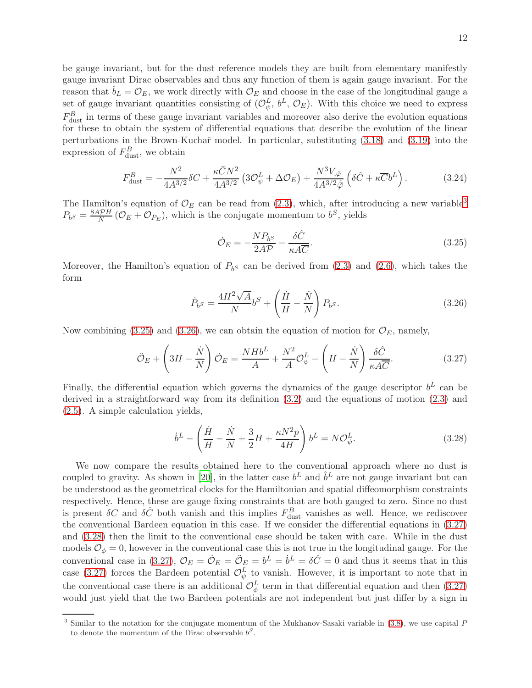be gauge invariant, but for the dust reference models they are built from elementary manifestly gauge invariant Dirac observables and thus any function of them is again gauge invariant. For the reason that  $b_L = \mathcal{O}_E$ , we work directly with  $\mathcal{O}_E$  and choose in the case of the longitudinal gauge a set of gauge invariant quantities consisting of  $(O_{\psi}^L, b^L, \mathcal{O}_E)$ . With this choice we need to express  $F_{\text{dust}}^B$  in terms of these gauge invariant variables and moreover also derive the evolution equations for these to obtain the system of differential equations that describe the evolution of the linear perturbations in the Brown-Kuchař model. In particular, substituting  $(3.18)$  and  $(3.19)$  into the expression of  $F_{\text{dust}}^B$ , we obtain

<span id="page-12-5"></span>
$$
F_{\text{dust}}^{B} = -\frac{N^2}{4A^{3/2}} \delta C + \frac{\kappa \bar{C} N^2}{4A^{3/2}} \left( 3\mathcal{O}_{\psi}^L + \Delta \mathcal{O}_E \right) + \frac{N^3 V_{,\bar{\varphi}}}{4A^{3/2} \dot{\bar{\varphi}}} \left( \delta \hat{C} + \kappa \overline{C} b^L \right). \tag{3.24}
$$

The Hamilton's equation of  $\mathcal{O}_E$  can be read from [\(2.3\)](#page-4-2), which, after introducing a new variable<sup>[3](#page-12-0)</sup>  $P_{b^S} = \frac{8A\mathcal{P}H}{N}(\mathcal{O}_E + \mathcal{O}_{P_E}),$  which is the conjugate momentum to  $b^S$ , yields

<span id="page-12-1"></span>
$$
\dot{\mathcal{O}}_E = -\frac{NP_{b^S}}{2A\mathcal{P}} - \frac{\delta\hat{C}}{\kappa A\overline{C}}.\tag{3.25}
$$

Moreover, the Hamilton's equation of  $P_{b^S}$  can be derived from [\(2.3\)](#page-4-2) and [\(2.6\)](#page-4-2), which takes the form

<span id="page-12-2"></span>
$$
\dot{P}_b s = \frac{4H^2\sqrt{A}}{N}b^S + \left(\frac{\dot{H}}{H} - \frac{\dot{N}}{N}\right)P_b s. \tag{3.26}
$$

Now combining [\(3.25\)](#page-12-1) and [\(3.26\)](#page-12-2), we can obtain the equation of motion for  $\mathcal{O}_E$ , namely,

<span id="page-12-3"></span>
$$
\ddot{\mathcal{O}}_E + \left(3H - \frac{\dot{N}}{N}\right)\dot{\mathcal{O}}_E = \frac{NHb^L}{A} + \frac{N^2}{A}\mathcal{O}_{\psi}^L - \left(H - \frac{\dot{N}}{N}\right)\frac{\delta\hat{C}}{\kappa A\overline{C}}.\tag{3.27}
$$

Finally, the differential equation which governs the dynamics of the gauge descriptor  $b^L$  can be derived in a straightforward way from its definition [\(3.2\)](#page-8-1) and the equations of motion [\(2.3\)](#page-4-2) and [\(2.5\)](#page-4-2). A simple calculation yields,

<span id="page-12-4"></span>
$$
\dot{b}^L - \left(\frac{\dot{H}}{H} - \frac{\dot{N}}{N} + \frac{3}{2}H + \frac{\kappa N^2 p}{4H}\right)b^L = N\mathcal{O}_{\psi}^L.
$$
\n(3.28)

We now compare the results obtained here to the conventional approach where no dust is coupled to gravity. As shown in [\[20](#page-20-10)], in the latter case  $b^L$  and  $\hat{b}^L$  are not gauge invariant but can be understood as the geometrical clocks for the Hamiltonian and spatial diffeomorphism constraints respectively. Hence, these are gauge fixing constraints that are both gauged to zero. Since no dust is present  $\delta C$  and  $\delta \hat{C}$  both vanish and this implies  $F_{\text{dust}}^B$  vanishes as well. Hence, we rediscover the conventional Bardeen equation in this case. If we consider the differential equations in [\(3.27\)](#page-12-3) and [\(3.28\)](#page-12-4) then the limit to the conventional case should be taken with care. While in the dust models  $\mathcal{O}_{\phi} = 0$ , however in the conventional case this is not true in the longitudinal gauge. For the conventional case in [\(3.27\)](#page-12-3),  $\mathcal{O}_E = \mathcal{O}_E = \mathcal{O}_E = b^L = b^L = \delta \hat{C} = 0$  and thus it seems that in this case [\(3.27\)](#page-12-3) forces the Bardeen potential  $\mathcal{O}_{\psi}^{L}$  to vanish. However, it is important to note that in the conventional case there is an additional  $\mathcal{O}_{\phi}^{L}$  term in that differential equation and then [\(3.27\)](#page-12-3) would just yield that the two Bardeen potentials are not independent but just differ by a sign in

<span id="page-12-0"></span><sup>&</sup>lt;sup>3</sup> Similar to the notation for the conjugate momentum of the Mukhanov-Sasaki variable in [\(3.8\)](#page-9-1), we use capital P to denote the momentum of the Dirac observable  $b^S$ .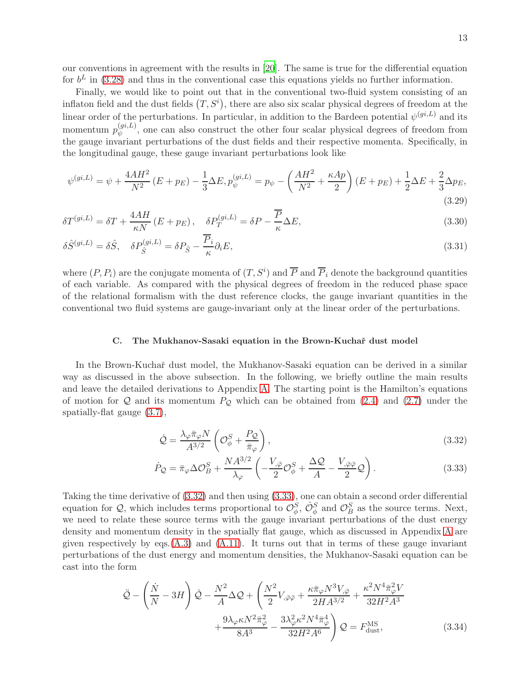our conventions in agreement with the results in [\[20](#page-20-10)]. The same is true for the differential equation for  $b^L$  in [\(3.28\)](#page-12-4) and thus in the conventional case this equations yields no further information.

Finally, we would like to point out that in the conventional two-fluid system consisting of an inflaton field and the dust fields  $(T, S<sup>i</sup>)$ , there are also six scalar physical degrees of freedom at the linear order of the perturbations. In particular, in addition to the Bardeen potential  $\psi^{(gi,L)}$  and its momentum  $p_{\psi}^{(gi,L)}$  $\psi_{\psi}^{(y,\nu)}$ , one can also construct the other four scalar physical degrees of freedom from the gauge invariant perturbations of the dust fields and their respective momenta. Specifically, in the longitudinal gauge, these gauge invariant perturbations look like

<span id="page-13-3"></span>
$$
\psi^{(gi,L)} = \psi + \frac{4AH^2}{N^2} \left( E + p_E \right) - \frac{1}{3} \Delta E, p_{\psi}^{(gi,L)} = p_{\psi} - \left( \frac{AH^2}{N^2} + \frac{\kappa Ap}{2} \right) \left( E + p_E \right) + \frac{1}{2} \Delta E + \frac{2}{3} \Delta p_E,
$$
\n(3.29)

$$
\delta T^{(gi,L)} = \delta T + \frac{4AH}{\kappa N} \left( E + p_E \right), \quad \delta P_T^{(gi,L)} = \delta P - \frac{\overline{P}}{\kappa} \Delta E,\tag{3.30}
$$

$$
\delta \hat{S}^{(gi,L)} = \delta \hat{S}, \quad \delta P_{\hat{S}}^{(gi,L)} = \delta P_{\hat{S}} - \frac{\overline{P}_i}{\kappa} \partial_i E,\tag{3.31}
$$

where  $(P, P_i)$  are the conjugate momenta of  $(T, S^i)$  and  $\overline{P}$  and  $\overline{P}_i$  denote the background quantities of each variable. As compared with the physical degrees of freedom in the reduced phase space of the relational formalism with the dust reference clocks, the gauge invariant quantities in the conventional two fluid systems are gauge-invariant only at the linear order of the perturbations.

### <span id="page-13-0"></span>C. The Mukhanov-Sasaki equation in the Brown-Kuchař dust model

In the Brown-Kuchař dust model, the Mukhanov-Sasaki equation can be derived in a similar way as discussed in the above subsection. In the following, we briefly outline the main results and leave the detailed derivations to Appendix [A.](#page-18-0) The starting point is the Hamilton's equations of motion for  $\mathcal Q$  and its momentum  $P_{\mathcal Q}$  which can be obtained from [\(2.4\)](#page-4-2) and [\(2.7\)](#page-4-2) under the spatially-flat gauge [\(3.7\)](#page-8-2),

<span id="page-13-1"></span>
$$
\dot{\mathcal{Q}} = \frac{\lambda_{\varphi} \bar{\pi}_{\varphi} N}{A^{3/2}} \left( \mathcal{O}_{\phi}^{S} + \frac{P_{\mathcal{Q}}}{\bar{\pi}_{\varphi}} \right),\tag{3.32}
$$

$$
\dot{P}_{\mathcal{Q}} = \bar{\pi}_{\varphi} \Delta \mathcal{O}_{B}^{S} + \frac{NA^{3/2}}{\lambda_{\varphi}} \left( -\frac{V_{,\bar{\varphi}}}{2} \mathcal{O}_{\phi}^{S} + \frac{\Delta \mathcal{Q}}{A} - \frac{V_{,\bar{\varphi}\bar{\varphi}}}{2} \mathcal{Q} \right).
$$
\n(3.33)

Taking the time derivative of [\(3.32\)](#page-13-1) and then using [\(3.33\)](#page-13-1), one can obtain a second order differential equation for Q, which includes terms proportional to  $\mathcal{O}_{\phi}^S$ ,  $\dot{\mathcal{O}}_{\phi}^S$  and  $\mathcal{O}_{B}^S$  as the source terms. Next, we need to relate these source terms with the gauge invariant perturbations of the dust energy density and momentum density in the spatially flat gauge, which as discussed in Appendix [A](#page-18-0) are given respectively by eqs. $(A.3)$  and  $(A.11)$ . It turns out that in terms of these gauge invariant perturbations of the dust energy and momentum densities, the Mukhanov-Sasaki equation can be cast into the form

<span id="page-13-2"></span>
$$
\ddot{\mathcal{Q}} - \left(\frac{\dot{N}}{N} - 3H\right)\dot{\mathcal{Q}} - \frac{N^2}{A}\Delta\mathcal{Q} + \left(\frac{N^2}{2}V_{,\bar{\varphi}\bar{\varphi}} + \frac{\kappa\bar{\pi}_{\varphi}N^3V_{,\bar{\varphi}}}{2HA^{3/2}} + \frac{\kappa^2N^4\bar{\pi}_{\varphi}^2V}{32H^2A^3} + \frac{9\lambda_{\varphi}\kappa N^2\bar{\pi}_{\varphi}^2}{8A^3} - \frac{3\lambda_{\varphi}^2\kappa^2N^4\bar{\pi}_{\varphi}^4}{32H^2A^6}\right)\mathcal{Q} = F_{\text{dust}}^{\text{MS}},\tag{3.34}
$$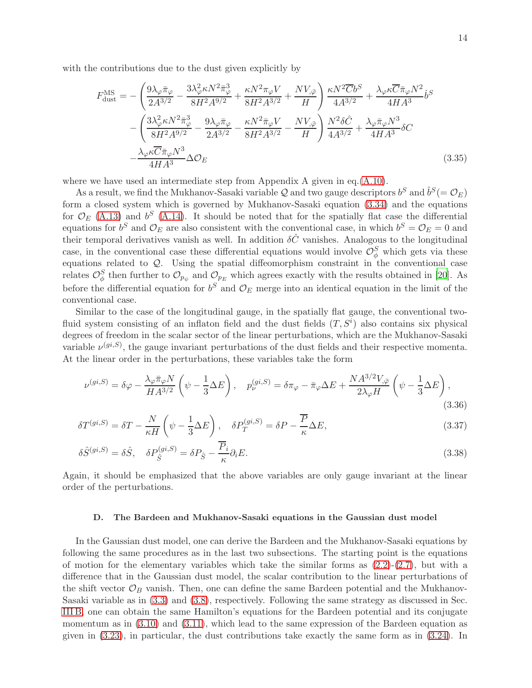with the contributions due to the dust given explicitly by

<span id="page-14-1"></span>
$$
F_{\text{dust}}^{\text{MS}} = -\left(\frac{9\lambda_{\varphi}\bar{\pi}_{\varphi}}{2A^{3/2}} - \frac{3\lambda_{\varphi}^{2}\kappa N^{2}\bar{\pi}_{\varphi}^{3}}{8H^{2}A^{9/2}} + \frac{\kappa N^{2}\pi_{\varphi}V}{8H^{2}A^{3/2}} + \frac{NV_{,\bar{\varphi}}}{H}\right) \frac{\kappa N^{2}\overline{C}b^{S}}{4A^{3/2}} + \frac{\lambda_{\varphi}\kappa\overline{C}\bar{\pi}_{\varphi}N^{2}}{4HA^{3}}b^{S}
$$

$$
-\left(\frac{3\lambda_{\varphi}^{2}\kappa N^{2}\bar{\pi}_{\varphi}^{3}}{8H^{2}A^{9/2}} - \frac{9\lambda_{\varphi}\bar{\pi}_{\varphi}}{2A^{3/2}} - \frac{\kappa N^{2}\bar{\pi}_{\varphi}V}{8H^{2}A^{3/2}} - \frac{NV_{,\bar{\varphi}}}{H}\right) \frac{N^{2}\delta\hat{C}}{4A^{3/2}} + \frac{\lambda_{\varphi}\bar{\pi}_{\varphi}N^{3}}{4HA^{3}}\delta C
$$

$$
-\frac{\lambda_{\varphi}\kappa\overline{C}\bar{\pi}_{\varphi}N^{3}}{4HA^{3}}\Delta\mathcal{O}_{E}
$$
(3.35)

where we have used an intermediate step from Appendix A given in eq.[\(A.10\)](#page-19-1).

As a result, we find the Mukhanov-Sasaki variable  $Q$  and two gauge descriptors  $b^S$  and  $\hat{b}^S (= \mathcal{O}_E)$ form a closed system which is governed by Mukhanov-Sasaki equation [\(3.34\)](#page-13-2) and the equations for  $\mathcal{O}_E$  [\(A.13\)](#page-20-13) and  $b^S$  [\(A.14\)](#page-20-14). It should be noted that for the spatially flat case the differential equations for  $b^S$  and  $\mathcal{O}_E$  are also consistent with the conventional case, in which  $b^S = \mathcal{O}_E = 0$  and their temporal derivatives vanish as well. In addition  $\delta\hat{C}$  vanishes. Analogous to the longitudinal case, in the conventional case these differential equations would involve  $\mathcal{O}_{\phi}^S$  which gets via these equations related to Q. Using the spatial diffeomorphism constraint in the conventional case relates  $\mathcal{O}_{\phi}^S$  then further to  $\mathcal{O}_{p_{\psi}}$  and  $\mathcal{O}_{p_E}$  which agrees exactly with the results obtained in [\[20\]](#page-20-10). As before the differential equation for  $b^S$  and  $\mathcal{O}_E$  merge into an identical equation in the limit of the conventional case.

Similar to the case of the longitudinal gauge, in the spatially flat gauge, the conventional twofluid system consisting of an inflaton field and the dust fields  $(T, S<sup>i</sup>)$  also contains six physical degrees of freedom in the scalar sector of the linear perturbations, which are the Mukhanov-Sasaki variable  $\nu^{(gi,S)}$ , the gauge invariant perturbations of the dust fields and their respective momenta. At the linear order in the perturbations, these variables take the form

<span id="page-14-2"></span>
$$
\nu^{(gi,S)} = \delta\varphi - \frac{\lambda_{\varphi}\bar{\pi}_{\varphi}N}{HA^{3/2}} \left(\psi - \frac{1}{3}\Delta E\right), \quad p_{\nu}^{(gi,S)} = \delta\pi_{\varphi} - \bar{\pi}_{\varphi}\Delta E + \frac{NA^{3/2}V_{,\bar{\varphi}}}{2\lambda_{\varphi}H} \left(\psi - \frac{1}{3}\Delta E\right),\tag{3.36}
$$

$$
\delta T^{(gi,S)} = \delta T - \frac{N}{\kappa H} \left( \psi - \frac{1}{3} \Delta E \right), \quad \delta P_T^{(gi,S)} = \delta P - \frac{\overline{P}}{\kappa} \Delta E,\tag{3.37}
$$

$$
\delta \hat{S}^{(gi,S)} = \delta \hat{S}, \quad \delta P_{\hat{S}}^{(gi,S)} = \delta P_{\hat{S}} - \frac{\overline{P}_i}{\kappa} \partial_i E. \tag{3.38}
$$

Again, it should be emphasized that the above variables are only gauge invariant at the linear order of the perturbations.

### <span id="page-14-0"></span>D. The Bardeen and Mukhanov-Sasaki equations in the Gaussian dust model

In the Gaussian dust model, one can derive the Bardeen and the Mukhanov-Sasaki equations by following the same procedures as in the last two subsections. The starting point is the equations of motion for the elementary variables which take the similar forms as  $(2.2)-(2.7)$  $(2.2)-(2.7)$ , but with a difference that in the Gaussian dust model, the scalar contribution to the linear perturbations of the shift vector  $\mathcal{O}_B$  vanish. Then, one can define the same Bardeen potential and the Mukhanov-Sasaki variable as in [\(3.3\)](#page-8-3) and [\(3.8\)](#page-9-1), respectively. Following the same strategy as discussed in Sec. [III B,](#page-9-0) one can obtain the same Hamilton's equations for the Bardeen potential and its conjugate momentum as in [\(3.10\)](#page-10-1) and [\(3.11\)](#page-10-1), which lead to the same expression of the Bardeen equation as given in [\(3.23\)](#page-11-1), in particular, the dust contributions take exactly the same form as in [\(3.24\)](#page-12-5). In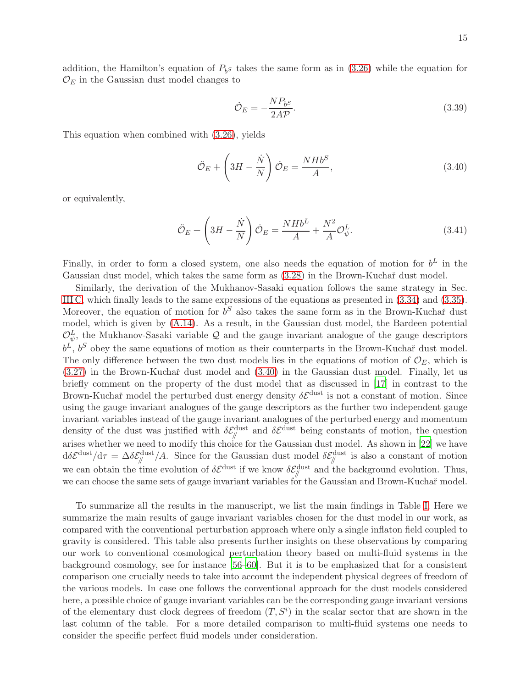addition, the Hamilton's equation of  $P_{b^S}$  takes the same form as in [\(3.26\)](#page-12-2) while the equation for  $\mathcal{O}_E$  in the Gaussian dust model changes to

$$
\dot{\mathcal{O}}_E = -\frac{NP_{b^S}}{2AP}.\tag{3.39}
$$

This equation when combined with [\(3.26\)](#page-12-2), yields

<span id="page-15-0"></span>
$$
\ddot{\mathcal{O}}_E + \left(3H - \frac{\dot{N}}{N}\right)\dot{\mathcal{O}}_E = \frac{NHb^S}{A},\tag{3.40}
$$

or equivalently,

$$
\ddot{\mathcal{O}}_E + \left(3H - \frac{\dot{N}}{N}\right)\dot{\mathcal{O}}_E = \frac{NHb^L}{A} + \frac{N^2}{A}\mathcal{O}_{\psi}^L.
$$
\n(3.41)

Finally, in order to form a closed system, one also needs the equation of motion for  $b^L$  in the Gaussian dust model, which takes the same form as  $(3.28)$  in the Brown-Kuchař dust model.

Similarly, the derivation of the Mukhanov-Sasaki equation follows the same strategy in Sec. [III C,](#page-13-0) which finally leads to the same expressions of the equations as presented in [\(3.34\)](#page-13-2) and [\(3.35\)](#page-14-1). Moreover, the equation of motion for  $b^S$  also takes the same form as in the Brown-Kuchař dust model, which is given by [\(A.14\)](#page-20-14). As a result, in the Gaussian dust model, the Bardeen potential  $\mathcal{O}_{\psi}^{L}$ , the Mukhanov-Sasaki variable Q and the gauge invariant analogue of the gauge descriptors  $b^L$ ,  $b^S$  obey the same equations of motion as their counterparts in the Brown-Kuchař dust model. The only difference between the two dust models lies in the equations of motion of  $\mathcal{O}_E$ , which is  $(3.27)$  in the Brown-Kuchař dust model and  $(3.40)$  in the Gaussian dust model. Finally, let us briefly comment on the property of the dust model that as discussed in [\[17\]](#page-20-15) in contrast to the Brown-Kuchař model the perturbed dust energy density  $\delta \mathcal{E}^{\text{dust}}$  is not a constant of motion. Since using the gauge invariant analogues of the gauge descriptors as the further two independent gauge invariant variables instead of the gauge invariant analogues of the perturbed energy and momentum density of the dust was justified with  $\delta \mathcal{E}_{\parallel}^{\text{dust}}$  and  $\delta \mathcal{E}^{\text{dust}}$  being constants of motion, the question arises whether we need to modify this choice for the Gaussian dust model. As shown in [\[22](#page-20-9)] we have  $d\delta \mathcal{E}^{\text{dust}}/d\tau = \Delta \delta \mathcal{E}_{\parallel}^{\text{dust}}/A$ . Since for the Gaussian dust model  $\delta \mathcal{E}_{\parallel}^{\text{dust}}$  is also a constant of motion we can obtain the time evolution of  $\delta \mathcal{E}^{\text{dust}}$  if we know  $\delta \mathcal{E}^{\text{dust}}_{\parallel}$  and the background evolution. Thus, we can choose the same sets of gauge invariant variables for the Gaussian and Brown-Kuchař model.

To summarize all the results in the manuscript, we list the main findings in Table [I.](#page-16-1) Here we summarize the main results of gauge invariant variables chosen for the dust model in our work, as compared with the conventional perturbation approach where only a single inflaton field coupled to gravity is considered. This table also presents further insights on these observations by comparing our work to conventional cosmological perturbation theory based on multi-fluid systems in the background cosmology, see for instance [\[56](#page-22-4)[–60](#page-22-5)]. But it is to be emphasized that for a consistent comparison one crucially needs to take into account the independent physical degrees of freedom of the various models. In case one follows the conventional approach for the dust models considered here, a possible choice of gauge invariant variables can be the corresponding gauge invariant versions of the elementary dust clock degrees of freedom  $(T, S<sup>i</sup>)$  in the scalar sector that are shown in the last column of the table. For a more detailed comparison to multi-fluid systems one needs to consider the specific perfect fluid models under consideration.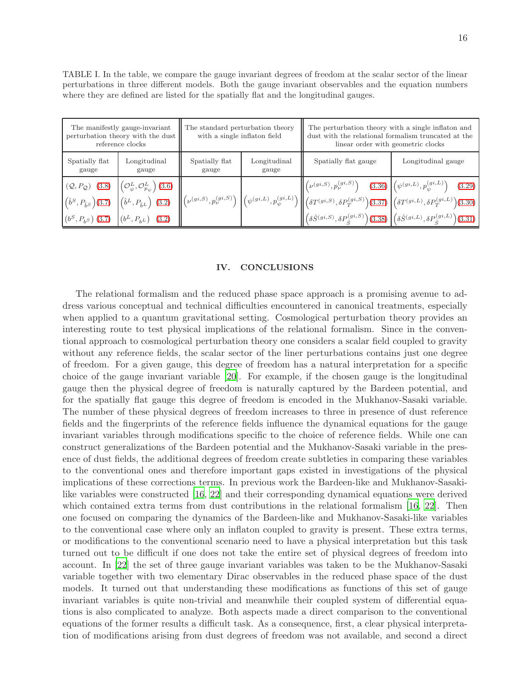<span id="page-16-1"></span>TABLE I. In the table, we compare the gauge invariant degrees of freedom at the scalar sector of the linear perturbations in three different models. Both the gauge invariant observables and the equation numbers where they are defined are listed for the spatially flat and the longitudinal gauges.

| The manifestly gauge-invariant<br>perturbation theory with the dust $\parallel$<br>reference clocks |                                                                                                                                                                                                                                                                                                                  | The standard perturbation theory<br>with a single inflaton field |                       | The perturbation theory with a single inflaton and<br>dust with the relational formalism truncated at the<br>linear order with geometric clocks                                                                                                                                                                                                                                                                                                                                                                                                                                                      |                    |
|-----------------------------------------------------------------------------------------------------|------------------------------------------------------------------------------------------------------------------------------------------------------------------------------------------------------------------------------------------------------------------------------------------------------------------|------------------------------------------------------------------|-----------------------|------------------------------------------------------------------------------------------------------------------------------------------------------------------------------------------------------------------------------------------------------------------------------------------------------------------------------------------------------------------------------------------------------------------------------------------------------------------------------------------------------------------------------------------------------------------------------------------------------|--------------------|
| Spatially flat<br>gauge                                                                             | Longitudinal<br>gauge                                                                                                                                                                                                                                                                                            | Spatially flat<br>gauge                                          | Longitudinal<br>gauge | Spatially flat gauge                                                                                                                                                                                                                                                                                                                                                                                                                                                                                                                                                                                 | Longitudinal gauge |
|                                                                                                     | $(\mathcal{Q}, P_{\mathcal{Q}})$ (3.8) $\left  \left( \mathcal{O}_{\psi}^{L}, \mathcal{O}_{p_{\psi}}^{L} \right) (3.6) \right $<br>$\left  \left( \hat{b}^{S}, P_{\hat{b}^{S}} \right) (3.7) \right  \left( \hat{b}^{L}, P_{\hat{b}^{L}} \right) (3.2) \right $<br>$(b^S, P_{b^S})$ (3.7) $(b^L, P_{b^L})$ (3.2) |                                                                  |                       | $\left\  \left( \nu^{(gi,S)}, p_{\nu}^{(gi,S)} \right) - (3.36) \right\  \left( \psi^{(gi,L)}, p_{\psi}^{(gi,L)} \right) - (3.29)$<br>$\left\  \left(\nu^{(gi,S)},p_\nu^{(gi,S)}\right) \, \left  \left(\psi^{(gi,L)},p_\psi^{(gi,L)}\right) \right\  \left(\delta T^{(gi,S)},\delta P_T^{(gi,S)}\right) \!\! \left(3.37 \right) \, \left \left(\delta T^{(gi,L)},\delta P_T^{(gi,L)}\right) \!\! \left(3.30 \right) \right  \right.$<br>$\left\ \left(\delta\hat{S}^{(gi,S)},\delta P^{(gi,S)}_{\hat{c}}\right)(3.38)\right\ \left(\delta\hat{S}^{(gi,L)},\delta P^{(gi,L)}_{\hat{c}}\right)(3.31)$ |                    |

### <span id="page-16-0"></span>IV. CONCLUSIONS

The relational formalism and the reduced phase space approach is a promising avenue to address various conceptual and technical difficulties encountered in canonical treatments, especially when applied to a quantum gravitational setting. Cosmological perturbation theory provides an interesting route to test physical implications of the relational formalism. Since in the conventional approach to cosmological perturbation theory one considers a scalar field coupled to gravity without any reference fields, the scalar sector of the liner perturbations contains just one degree of freedom. For a given gauge, this degree of freedom has a natural interpretation for a specific choice of the gauge invariant variable [\[20\]](#page-20-10). For example, if the chosen gauge is the longitudinal gauge then the physical degree of freedom is naturally captured by the Bardeen potential, and for the spatially flat gauge this degree of freedom is encoded in the Mukhanov-Sasaki variable. The number of these physical degrees of freedom increases to three in presence of dust reference fields and the fingerprints of the reference fields influence the dynamical equations for the gauge invariant variables through modifications specific to the choice of reference fields. While one can construct generalizations of the Bardeen potential and the Mukhanov-Sasaki variable in the presence of dust fields, the additional degrees of freedom create subtleties in comparing these variables to the conventional ones and therefore important gaps existed in investigations of the physical implications of these corrections terms. In previous work the Bardeen-like and Mukhanov-Sasakilike variables were constructed [\[16](#page-20-8), [22\]](#page-20-9) and their corresponding dynamical equations were derived which contained extra terms from dust contributions in the relational formalism [\[16](#page-20-8), [22](#page-20-9)]. Then one focused on comparing the dynamics of the Bardeen-like and Mukhanov-Sasaki-like variables to the conventional case where only an inflaton coupled to gravity is present. These extra terms, or modifications to the conventional scenario need to have a physical interpretation but this task turned out to be difficult if one does not take the entire set of physical degrees of freedom into account. In [\[22\]](#page-20-9) the set of three gauge invariant variables was taken to be the Mukhanov-Sasaki variable together with two elementary Dirac observables in the reduced phase space of the dust models. It turned out that understanding these modifications as functions of this set of gauge invariant variables is quite non-trivial and meanwhile their coupled system of differential equations is also complicated to analyze. Both aspects made a direct comparison to the conventional equations of the former results a difficult task. As a consequence, first, a clear physical interpretation of modifications arising from dust degrees of freedom was not available, and second a direct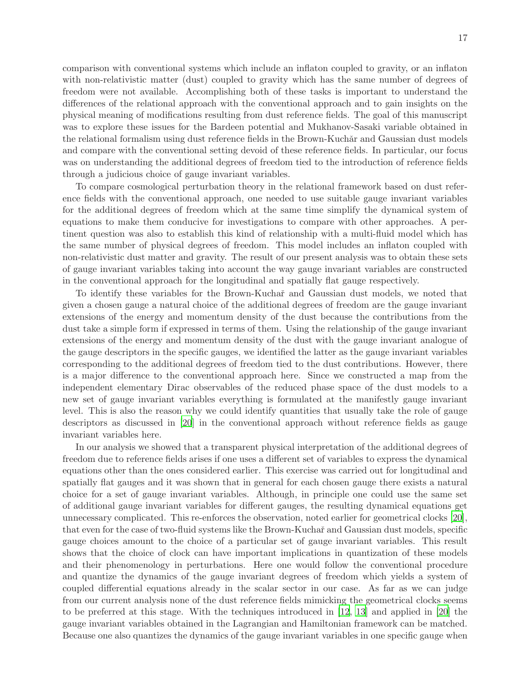comparison with conventional systems which include an inflaton coupled to gravity, or an inflaton with non-relativistic matter (dust) coupled to gravity which has the same number of degrees of freedom were not available. Accomplishing both of these tasks is important to understand the differences of the relational approach with the conventional approach and to gain insights on the physical meaning of modifications resulting from dust reference fields. The goal of this manuscript was to explore these issues for the Bardeen potential and Mukhanov-Sasaki variable obtained in the relational formalism using dust reference fields in the Brown-Kuchǎr and Gaussian dust models and compare with the conventional setting devoid of these reference fields. In particular, our focus was on understanding the additional degrees of freedom tied to the introduction of reference fields through a judicious choice of gauge invariant variables.

To compare cosmological perturbation theory in the relational framework based on dust reference fields with the conventional approach, one needed to use suitable gauge invariant variables for the additional degrees of freedom which at the same time simplify the dynamical system of equations to make them conducive for investigations to compare with other approaches. A pertinent question was also to establish this kind of relationship with a multi-fluid model which has the same number of physical degrees of freedom. This model includes an inflaton coupled with non-relativistic dust matter and gravity. The result of our present analysis was to obtain these sets of gauge invariant variables taking into account the way gauge invariant variables are constructed in the conventional approach for the longitudinal and spatially flat gauge respectively.

To identify these variables for the Brown-Kuchaˇr and Gaussian dust models, we noted that given a chosen gauge a natural choice of the additional degrees of freedom are the gauge invariant extensions of the energy and momentum density of the dust because the contributions from the dust take a simple form if expressed in terms of them. Using the relationship of the gauge invariant extensions of the energy and momentum density of the dust with the gauge invariant analogue of the gauge descriptors in the specific gauges, we identified the latter as the gauge invariant variables corresponding to the additional degrees of freedom tied to the dust contributions. However, there is a major difference to the conventional approach here. Since we constructed a map from the independent elementary Dirac observables of the reduced phase space of the dust models to a new set of gauge invariant variables everything is formulated at the manifestly gauge invariant level. This is also the reason why we could identify quantities that usually take the role of gauge descriptors as discussed in [\[20](#page-20-10)] in the conventional approach without reference fields as gauge invariant variables here.

In our analysis we showed that a transparent physical interpretation of the additional degrees of freedom due to reference fields arises if one uses a different set of variables to express the dynamical equations other than the ones considered earlier. This exercise was carried out for longitudinal and spatially flat gauges and it was shown that in general for each chosen gauge there exists a natural choice for a set of gauge invariant variables. Although, in principle one could use the same set of additional gauge invariant variables for different gauges, the resulting dynamical equations get unnecessary complicated. This re-enforces the observation, noted earlier for geometrical clocks [\[20](#page-20-10)], that even for the case of two-fluid systems like the Brown-Kuchař and Gaussian dust models, specific gauge choices amount to the choice of a particular set of gauge invariant variables. This result shows that the choice of clock can have important implications in quantization of these models and their phenomenology in perturbations. Here one would follow the conventional procedure and quantize the dynamics of the gauge invariant degrees of freedom which yields a system of coupled differential equations already in the scalar sector in our case. As far as we can judge from our current analysis none of the dust reference fields mimicking the geometrical clocks seems to be preferred at this stage. With the techniques introduced in [\[12](#page-20-16), [13\]](#page-20-5) and applied in [\[20\]](#page-20-10) the gauge invariant variables obtained in the Lagrangian and Hamiltonian framework can be matched. Because one also quantizes the dynamics of the gauge invariant variables in one specific gauge when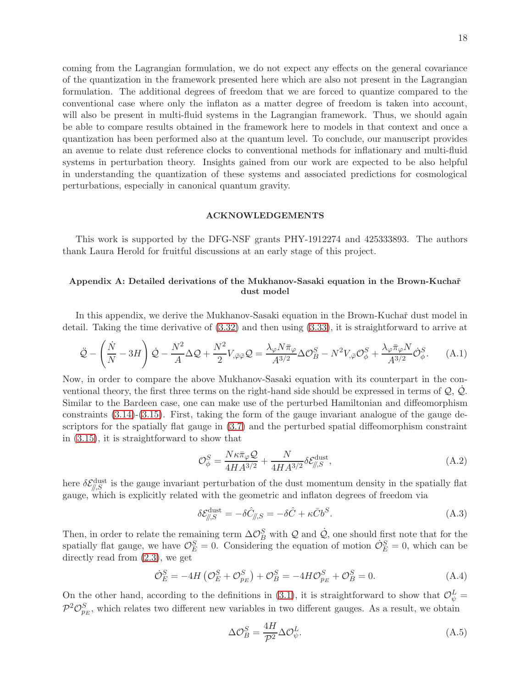coming from the Lagrangian formulation, we do not expect any effects on the general covariance of the quantization in the framework presented here which are also not present in the Lagrangian formulation. The additional degrees of freedom that we are forced to quantize compared to the conventional case where only the inflaton as a matter degree of freedom is taken into account, will also be present in multi-fluid systems in the Lagrangian framework. Thus, we should again be able to compare results obtained in the framework here to models in that context and once a quantization has been performed also at the quantum level. To conclude, our manuscript provides an avenue to relate dust reference clocks to conventional methods for inflationary and multi-fluid systems in perturbation theory. Insights gained from our work are expected to be also helpful in understanding the quantization of these systems and associated predictions for cosmological perturbations, especially in canonical quantum gravity.

### ACKNOWLEDGEMENTS

This work is supported by the DFG-NSF grants PHY-1912274 and 425333893. The authors thank Laura Herold for fruitful discussions at an early stage of this project.

# <span id="page-18-0"></span>Appendix A: Detailed derivations of the Mukhanov-Sasaki equation in the Brown-Kuchař dust model

In this appendix, we derive the Mukhanov-Sasaki equation in the Brown-Kuchař dust model in detail. Taking the time derivative of [\(3.32\)](#page-13-1) and then using [\(3.33\)](#page-13-1), it is straightforward to arrive at

$$
\ddot{\mathcal{Q}} - \left(\frac{\dot{N}}{N} - 3H\right)\dot{\mathcal{Q}} - \frac{N^2}{A}\Delta\mathcal{Q} + \frac{N^2}{2}V_{,\bar{\varphi}\bar{\varphi}}\mathcal{Q} = \frac{\lambda_{\varphi}N\bar{\pi}_{\varphi}}{A^{3/2}}\Delta\mathcal{O}_{B}^{S} - N^2V_{,\bar{\varphi}}\mathcal{O}_{\phi}^{S} + \frac{\lambda_{\varphi}\bar{\pi}_{\varphi}N}{A^{3/2}}\dot{\mathcal{O}}_{\phi}^{S}.
$$
 (A.1)

Now, in order to compare the above Mukhanov-Sasaki equation with its counterpart in the conventional theory, the first three terms on the right-hand side should be expressed in terms of  $\mathcal{Q}, \dot{\mathcal{Q}}$ . Similar to the Bardeen case, one can make use of the perturbed Hamiltonian and diffeomorphism constraints [\(3.14\)](#page-10-0)-[\(3.15\)](#page-10-0). First, taking the form of the gauge invariant analogue of the gauge descriptors for the spatially flat gauge in [\(3.7\)](#page-8-2) and the perturbed spatial diffeomorphism constraint in [\(3.15\)](#page-10-0), it is straightforward to show that

<span id="page-18-2"></span>
$$
\mathcal{O}_{\phi}^{S} = \frac{N\kappa\bar{\pi}_{\varphi}\mathcal{Q}}{4HA^{3/2}} + \frac{N}{4HA^{3/2}} \delta \mathcal{E}_{\beta,S}^{\text{dust}},\tag{A.2}
$$

here  $\delta \mathcal{E}_{\beta,S}^{\text{dust}}$  is the gauge invariant perturbation of the dust momentum density in the spatially flat gauge, which is explicitly related with the geometric and inflaton degrees of freedom via

<span id="page-18-1"></span>
$$
\delta \mathcal{E}_{\parallel,S}^{\text{dust}} = -\delta \hat{C}_{\parallel,S} = -\delta \hat{C} + \kappa \bar{C} b^S. \tag{A.3}
$$

Then, in order to relate the remaining term  $\Delta \mathcal{O}_B^S$  with Q and Q, one should first note that for the spatially flat gauge, we have  $\mathcal{O}_{E}^{S} = 0$ . Considering the equation of motion  $\dot{\mathcal{O}}_{E}^{S} = 0$ , which can be directly read from [\(2.3\)](#page-4-2), we get

$$
\dot{\mathcal{O}}_E^S = -4H\left(\mathcal{O}_E^S + \mathcal{O}_{p_E}^S\right) + \mathcal{O}_B^S = -4H\mathcal{O}_{p_E}^S + \mathcal{O}_B^S = 0.
$$
\n(A.4)

On the other hand, according to the definitions in [\(3.1\)](#page-7-1), it is straightforward to show that  $\mathcal{O}_{\psi}^{L} =$  $\mathcal{P}^2\mathcal{O}_{p_E}^S$ , which relates two different new variables in two different gauges. As a result, we obtain

<span id="page-18-3"></span>
$$
\Delta \mathcal{O}_B^S = \frac{4H}{\mathcal{P}^2} \Delta \mathcal{O}_{\psi}^L. \tag{A.5}
$$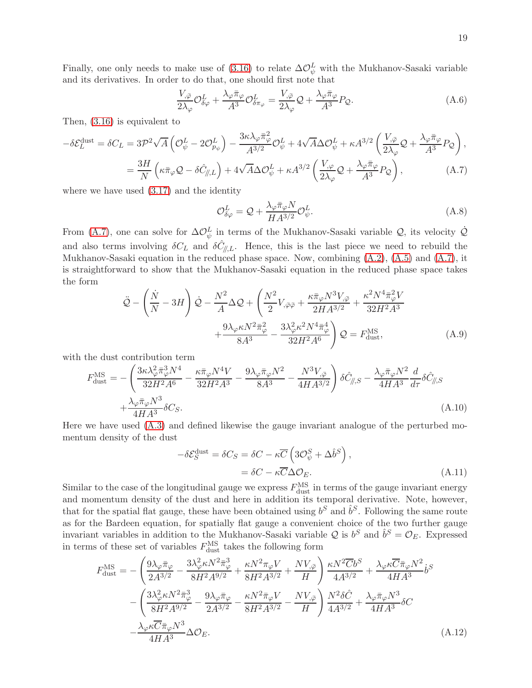Finally, one only needs to make use of [\(3.16\)](#page-10-3) to relate  $\Delta \mathcal{O}_{\psi}^{L}$  with the Mukhanov-Sasaki variable and its derivatives. In order to do that, one should first note that

$$
\frac{V_{,\bar{\varphi}}}{2\lambda_{\varphi}}\mathcal{O}_{\delta\varphi}^{L} + \frac{\lambda_{\varphi}\bar{\pi}_{\varphi}}{A^{3}}\mathcal{O}_{\delta\pi_{\varphi}}^{L} = \frac{V_{,\bar{\varphi}}}{2\lambda_{\varphi}}\mathcal{Q} + \frac{\lambda_{\varphi}\bar{\pi}_{\varphi}}{A^{3}}P_{\mathcal{Q}}.
$$
\n(A.6)

Then, [\(3.16\)](#page-10-3) is equivalent to

<span id="page-19-2"></span>
$$
-\delta \mathcal{E}_L^{\text{dust}} = \delta C_L = 3\mathcal{P}^2 \sqrt{A} \left( \mathcal{O}_{\psi}^L - 2\mathcal{O}_{p_{\psi}}^L \right) - \frac{3\kappa\lambda_{\varphi}\bar{\pi}_{\varphi}^2}{A^{3/2}} \mathcal{O}_{\psi}^L + 4\sqrt{A}\Delta \mathcal{O}_{\psi}^L + \kappa A^{3/2} \left( \frac{V_{,\bar{\varphi}}}{2\lambda_{\varphi}} \mathcal{Q} + \frac{\lambda_{\varphi}\bar{\pi}_{\varphi}}{A^3} P_{\mathcal{Q}} \right),
$$
  

$$
= \frac{3H}{N} \left( \kappa \bar{\pi}_{\varphi} \mathcal{Q} - \delta \hat{C}_{\parallel,L} \right) + 4\sqrt{A}\Delta \mathcal{O}_{\psi}^L + \kappa A^{3/2} \left( \frac{V_{,\varphi}}{2\lambda_{\varphi}} \mathcal{Q} + \frac{\lambda_{\varphi}\bar{\pi}_{\varphi}}{A^3} P_{\mathcal{Q}} \right),
$$
(A.7)

where we have used [\(3.17\)](#page-10-3) and the identity

$$
\mathcal{O}_{\delta\varphi}^{L} = \mathcal{Q} + \frac{\lambda_{\varphi}\bar{\pi}_{\varphi}N}{H A^{3/2}} \mathcal{O}_{\psi}^{L}.
$$
\n(A.8)

From [\(A.7\)](#page-19-2), one can solve for  $\Delta \mathcal{O}_{\psi}^{L}$  in terms of the Mukhanov-Sasaki variable  $\mathcal{Q}$ , its velocity  $\dot{\mathcal{Q}}$ and also terms involving  $\delta C_L$  and  $\delta \hat{C}_{\parallel,L}$ . Hence, this is the last piece we need to rebuild the Mukhanov-Sasaki equation in the reduced phase space. Now, combining [\(A.2\)](#page-18-2), [\(A.5\)](#page-18-3) and [\(A.7\)](#page-19-2), it is straightforward to show that the Mukhanov-Sasaki equation in the reduced phase space takes the form

$$
\ddot{\mathcal{Q}} - \left(\frac{\dot{N}}{N} - 3H\right)\dot{\mathcal{Q}} - \frac{N^2}{A}\Delta\mathcal{Q} + \left(\frac{N^2}{2}V_{,\bar{\varphi}\bar{\varphi}} + \frac{\kappa\bar{\pi}_{\varphi}N^3V_{,\bar{\varphi}}}{2HA^{3/2}} + \frac{\kappa^2N^4\bar{\pi}_{\varphi}^2V}{32H^2A^3} + \frac{9\lambda_{\varphi}\kappa N^2\bar{\pi}_{\varphi}^2}{8A^3} - \frac{3\lambda_{\varphi}^2\kappa^2N^4\bar{\pi}_{\varphi}^4}{32H^2A^6}\right)\mathcal{Q} = F_{\text{dust}}^{\text{MS}},\tag{A.9}
$$

with the dust contribution term

<span id="page-19-1"></span>
$$
F_{\text{dust}}^{\text{MS}} = -\left(\frac{3\kappa\lambda_{\varphi}^{2}\bar{\pi}_{\varphi}^{3}N^{4}}{32H^{2}A^{6}} - \frac{\kappa\bar{\pi}_{\varphi}N^{4}V}{32H^{2}A^{3}} - \frac{9\lambda_{\varphi}\bar{\pi}_{\varphi}N^{2}}{8A^{3}} - \frac{N^{3}V_{,\bar{\varphi}}}{4HA^{3/2}}\right)\delta\hat{C}_{\parallel,S} - \frac{\lambda_{\varphi}\bar{\pi}_{\varphi}N^{2}}{4HA^{3}}\frac{d}{d\tau}\delta\hat{C}_{\parallel,S} + \frac{\lambda_{\varphi}\bar{\pi}_{\varphi}N^{3}}{4HA^{3}}\delta C_{S}.
$$
\n(A.10)

Here we have used [\(A.3\)](#page-18-1) and defined likewise the gauge invariant analogue of the perturbed momentum density of the dust

<span id="page-19-0"></span>
$$
-\delta \mathcal{E}_S^{\text{dust}} = \delta C_S = \delta C - \kappa \overline{C} \left( 3 \mathcal{O}_{\psi}^S + \Delta \hat{b}^S \right),
$$
  
=  $\delta C - \kappa \overline{C} \Delta \mathcal{O}_E.$  (A.11)

Similar to the case of the longitudinal gauge we express  $F_{\text{dust}}^{\text{MS}}$  in terms of the gauge invariant energy and momentum density of the dust and here in addition its temporal derivative. Note, however, that for the spatial flat gauge, these have been obtained using  $b^S$  and  $\hat{b}^S$ . Following the same route as for the Bardeen equation, for spatially flat gauge a convenient choice of the two further gauge invariant variables in addition to the Mukhanov-Sasaki variable Q is  $b^S$  and  $\hat{b}^S = \mathcal{O}_E$ . Expressed in terms of these set of variables  $F_{\text{dust}}^{\text{MS}}$  takes the following form

$$
F_{\text{dust}}^{\text{MS}} = -\left(\frac{9\lambda_{\varphi}\bar{\pi}_{\varphi}}{2A^{3/2}} - \frac{3\lambda_{\varphi}^{2}\kappa N^{2}\bar{\pi}_{\varphi}^{3}}{8H^{2}A^{9/2}} + \frac{\kappa N^{2}\pi_{\varphi}V}{8H^{2}A^{3/2}} + \frac{NV_{,\bar{\varphi}}}{H}\right) \frac{\kappa N^{2}\overline{C}b^{S}}{4A^{3/2}} + \frac{\lambda_{\varphi}\kappa\overline{C}\bar{\pi}_{\varphi}N^{2}}{4HA^{3}}b^{S}
$$

$$
-\left(\frac{3\lambda_{\varphi}^{2}\kappa N^{2}\bar{\pi}_{\varphi}^{3}}{8H^{2}A^{9/2}} - \frac{9\lambda_{\varphi}\bar{\pi}_{\varphi}}{2A^{3/2}} - \frac{\kappa N^{2}\bar{\pi}_{\varphi}V}{8H^{2}A^{3/2}} - \frac{NV_{,\bar{\varphi}}}{H}\right)\frac{N^{2}\delta\hat{C}}{4A^{3/2}} + \frac{\lambda_{\varphi}\bar{\pi}_{\varphi}N^{3}}{4HA^{3}}\delta C
$$

$$
-\frac{\lambda_{\varphi}\kappa\overline{C}\bar{\pi}_{\varphi}N^{3}}{4HA^{3}}\Delta\mathcal{O}_{E}.
$$
(A.12)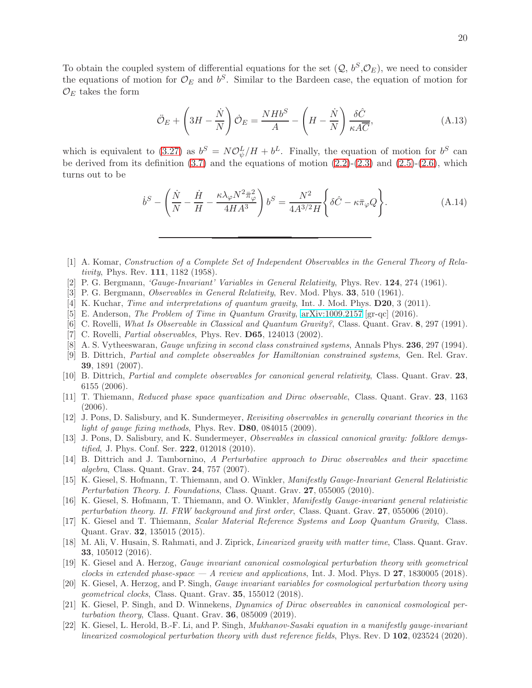To obtain the coupled system of differential equations for the set  $(Q, b^S, \mathcal{O}_E)$ , we need to consider the equations of motion for  $\mathcal{O}_E$  and  $b^S$ . Similar to the Bardeen case, the equation of motion for  $\mathcal{O}_E$  takes the form

<span id="page-20-13"></span>
$$
\ddot{\mathcal{O}}_E + \left(3H - \frac{\dot{N}}{N}\right)\dot{\mathcal{O}}_E = \frac{NHb^S}{A} - \left(H - \frac{\dot{N}}{N}\right)\frac{\delta\hat{C}}{\kappa A\overline{C}},\tag{A.13}
$$

which is equivalent to [\(3.27\)](#page-12-3) as  $b^S = N \mathcal{O}_{\psi}^L / H + b^L$ . Finally, the equation of motion for  $b^S$  can be derived from its definition  $(3.7)$  and the equations of motion  $(2.2)-(2.3)$  $(2.2)-(2.3)$  and  $(2.5)-(2.6)$  $(2.5)-(2.6)$ , which turns out to be

<span id="page-20-14"></span>
$$
\dot{b}^S - \left(\frac{\dot{N}}{N} - \frac{\dot{H}}{H} - \frac{\kappa \lambda_\varphi N^2 \bar{\pi}_\varphi^2}{4H A^3}\right) b^S = \frac{N^2}{4A^{3/2}H} \left\{\delta \hat{C} - \kappa \bar{\pi}_\varphi Q\right\}.
$$
\n(A.14)

- <span id="page-20-0"></span>[1] A. Komar, Construction of a Complete Set of Independent Observables in the General Theory of Relativity, Phys. Rev. **111**, 1182 (1958).
- [2] P. G. Bergmann, 'Gauge-Invariant' Variables in General Relativity, Phys. Rev. 124, 274 (1961).
- <span id="page-20-1"></span>[3] P. G. Bergmann, Observables in General Relativity, Rev. Mod. Phys. 33, 510 (1961).
- <span id="page-20-2"></span>[4] K. Kuchar, *Time and interpretations of quantum gravity*, Int. J. Mod. Phys. **D20**, 3 (2011).
- <span id="page-20-3"></span>[5] E. Anderson, The Problem of Time in Quantum Gravity, [arXiv:1009.2157](http://arxiv.org/abs/1009.2157) [gr-qc] (2016).
- <span id="page-20-4"></span>[6] C. Rovelli, What Is Observable in Classical and Quantum Gravity?, Class. Quant. Grav. 8, 297 (1991).
- [7] C. Rovelli, *Partial observables*, Phys. Rev. **D65**, 124013 (2002).
- [8] A. S. Vytheeswaran, Gauge unfixing in second class constrained systems, Annals Phys. 236, 297 (1994).
- [9] B. Dittrich, Partial and complete observables for Hamiltonian constrained systems, Gen. Rel. Grav. 39, 1891 (2007).
- <span id="page-20-6"></span>[10] B. Dittrich, Partial and complete observables for canonical general relativity, Class. Quant. Grav. 23, 6155 (2006).
- [11] T. Thiemann, Reduced phase space quantization and Dirac observable, Class. Quant. Grav. 23, 1163 (2006).
- <span id="page-20-16"></span>[12] J. Pons, D. Salisbury, and K. Sundermeyer, Revisiting observables in generally covariant theories in the light of gauge fixing methods, Phys. Rev. **D80**, 084015 (2009).
- <span id="page-20-5"></span>[13] J. Pons, D. Salisbury, and K. Sundermeyer, *Observables in classical canonical gravity: folklore demystified*, J. Phys. Conf. Ser. **222**, 012018 (2010).
- <span id="page-20-7"></span>[14] B. Dittrich and J. Tambornino, A Perturbative approach to Dirac observables and their spacetime algebra, Class. Quant. Grav. 24, 757 (2007).
- [15] K. Giesel, S. Hofmann, T. Thiemann, and O. Winkler, Manifestly Gauge-Invariant General Relativistic Perturbation Theory. I. Foundations, Class. Quant. Grav. 27, 055005 (2010).
- <span id="page-20-8"></span>[16] K. Giesel, S. Hofmann, T. Thiemann, and O. Winkler, Manifestly Gauge-invariant general relativistic perturbation theory. II. FRW background and first order, Class. Quant. Grav. 27, 055006 (2010).
- <span id="page-20-15"></span>[17] K. Giesel and T. Thiemann, Scalar Material Reference Systems and Loop Quantum Gravity, Class. Quant. Grav. 32, 135015 (2015).
- [18] M. Ali, V. Husain, S. Rahmati, and J. Ziprick, Linearized gravity with matter time, Class. Quant. Grav. 33, 105012 (2016).
- <span id="page-20-12"></span>[19] K. Giesel and A. Herzog, Gauge invariant canonical cosmological perturbation theory with geometrical clocks in extended phase-space  $-A$  review and applications, Int. J. Mod. Phys. D 27, 1830005 (2018).
- <span id="page-20-10"></span>[20] K. Giesel, A. Herzog, and P. Singh, Gauge invariant variables for cosmological perturbation theory using geometrical clocks, Class. Quant. Grav. 35, 155012 (2018).
- <span id="page-20-11"></span>[21] K. Giesel, P. Singh, and D. Winnekens, Dynamics of Dirac observables in canonical cosmological perturbation theory, Class. Quant. Grav.  $36, 085009$  (2019).
- <span id="page-20-9"></span>[22] K. Giesel, L. Herold, B.-F. Li, and P. Singh, Mukhanov-Sasaki equation in a manifestly gauge-invariant linearized cosmological perturbation theory with dust reference fields, Phys. Rev. D 102, 023524 (2020).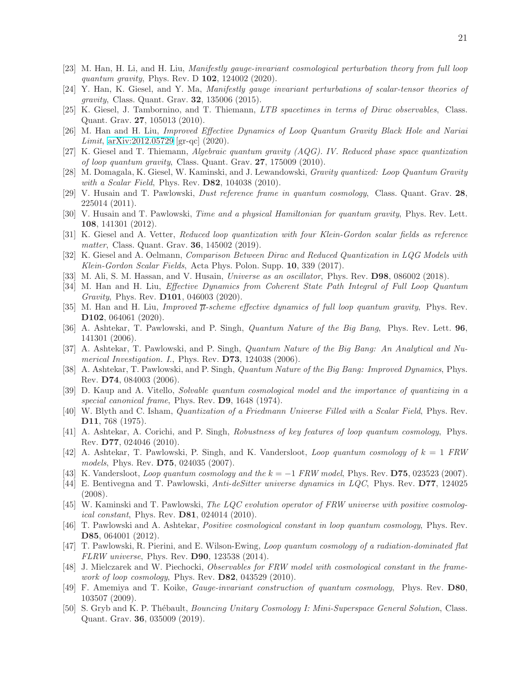- <span id="page-21-0"></span>[23] M. Han, H. Li, and H. Liu, Manifestly gauge-invariant cosmological perturbation theory from full loop quantum gravity, Phys. Rev. D **102**, 124002 (2020).
- <span id="page-21-1"></span>[24] Y. Han, K. Giesel, and Y. Ma, Manifestly gauge invariant perturbations of scalar-tensor theories of gravity, Class. Quant. Grav. 32, 135006 (2015).
- <span id="page-21-2"></span>[25] K. Giesel, J. Tambornino, and T. Thiemann, LTB spacetimes in terms of Dirac observables, Class. Quant. Grav. 27, 105013 (2010).
- <span id="page-21-3"></span>[26] M. Han and H. Liu, Improved Effective Dynamics of Loop Quantum Gravity Black Hole and Nariai *Limit*,  $arXiv:2012.05729$  [gr-qc]  $(2020)$ .
- <span id="page-21-4"></span>[27] K. Giesel and T. Thiemann, Algebraic quantum gravity (AQG). IV. Reduced phase space quantization of loop quantum gravity, Class. Quant. Grav. 27, 175009 (2010).
- [28] M. Domagala, K. Giesel, W. Kaminski, and J. Lewandowski, Gravity quantized: Loop Quantum Gravity with a Scalar Field, Phys. Rev. **D82**, 104038 (2010).
- [29] V. Husain and T. Pawlowski, *Dust reference frame in quantum cosmology*, Class. Quant. Grav. 28, 225014 (2011).
- [30] V. Husain and T. Pawlowski, *Time and a physical Hamiltonian for quantum gravity*, Phys. Rev. Lett. 108, 141301 (2012).
- [31] K. Giesel and A. Vetter, Reduced loop quantization with four Klein-Gordon scalar fields as reference matter, Class. Quant. Grav. **36**, 145002 (2019).
- [32] K. Giesel and A. Oelmann, Comparison Between Dirac and Reduced Quantization in LQG Models with Klein-Gordon Scalar Fields, Acta Phys. Polon. Supp. 10, 339 (2017).
- [33] M. Ali, S. M. Hassan, and V. Husain, *Universe as an oscillator*, Phys. Rev. **D98**, 086002 (2018).
- [34] M. Han and H. Liu, Effective Dynamics from Coherent State Path Integral of Full Loop Quantum Gravity, Phys. Rev. D101, 046003 (2020).
- <span id="page-21-5"></span>[35] M. Han and H. Liu, *Improved*  $\overline{\mu}$ -scheme effective dynamics of full loop quantum gravity, Phys. Rev. D102, 064061 (2020).
- <span id="page-21-6"></span>[36] A. Ashtekar, T. Pawlowski, and P. Singh, Quantum Nature of the Big Bang, Phys. Rev. Lett. 96, 141301 (2006).
- [37] A. Ashtekar, T. Pawlowski, and P. Singh, Quantum Nature of the Big Bang: An Analytical and Numerical Investigation. I., Phys. Rev. **D73**, 124038 (2006).
- [38] A. Ashtekar, T. Pawlowski, and P. Singh, Quantum Nature of the Big Bang: Improved Dynamics, Phys. Rev. D74, 084003 (2006).
- [39] D. Kaup and A. Vitello, Solvable quantum cosmological model and the importance of quantizing in a special canonical frame, Phys. Rev. **D9**, 1648 (1974).
- [40] W. Blyth and C. Isham, Quantization of a Friedmann Universe Filled with a Scalar Field, Phys. Rev. D11, 768 (1975).
- [41] A. Ashtekar, A. Corichi, and P. Singh, Robustness of key features of loop quantum cosmology, Phys. Rev. D77, 024046 (2010).
- [42] A. Ashtekar, T. Pawlowski, P. Singh, and K. Vandersloot, *Loop quantum cosmology of*  $k = 1$  FRW models, Phys. Rev. **D75**, 024035 (2007).
- [43] K. Vandersloot, *Loop quantum cosmology and the*  $k = -1$  *FRW model*, Phys. Rev. **D75**, 023523 (2007).
- [44] E. Bentivegna and T. Pawlowski, Anti-deSitter universe dynamics in LQC, Phys. Rev. D77, 124025 (2008).
- [45] W. Kaminski and T. Pawlowski, The LQC evolution operator of FRW universe with positive cosmological constant, Phys. Rev. **D81**, 024014 (2010).
- [46] T. Pawlowski and A. Ashtekar, Positive cosmological constant in loop quantum cosmology, Phys. Rev. D85, 064001 (2012).
- [47] T. Pawlowski, R. Pierini, and E. Wilson-Ewing, Loop quantum cosmology of a radiation-dominated flat FLRW universe, Phys. Rev. D90, 123538 (2014).
- [48] J. Mielczarek and W. Piechocki, Observables for FRW model with cosmological constant in the framework of loop cosmology, Phys. Rev.  $D82$ , 043529 (2010).
- [49] F. Amemiya and T. Koike, Gauge-invariant construction of quantum cosmology, Phys. Rev. D80, 103507 (2009).
- [50] S. Gryb and K. P. Thébault, *Bouncing Unitary Cosmology I: Mini-Superspace General Solution*, Class. Quant. Grav. 36, 035009 (2019).